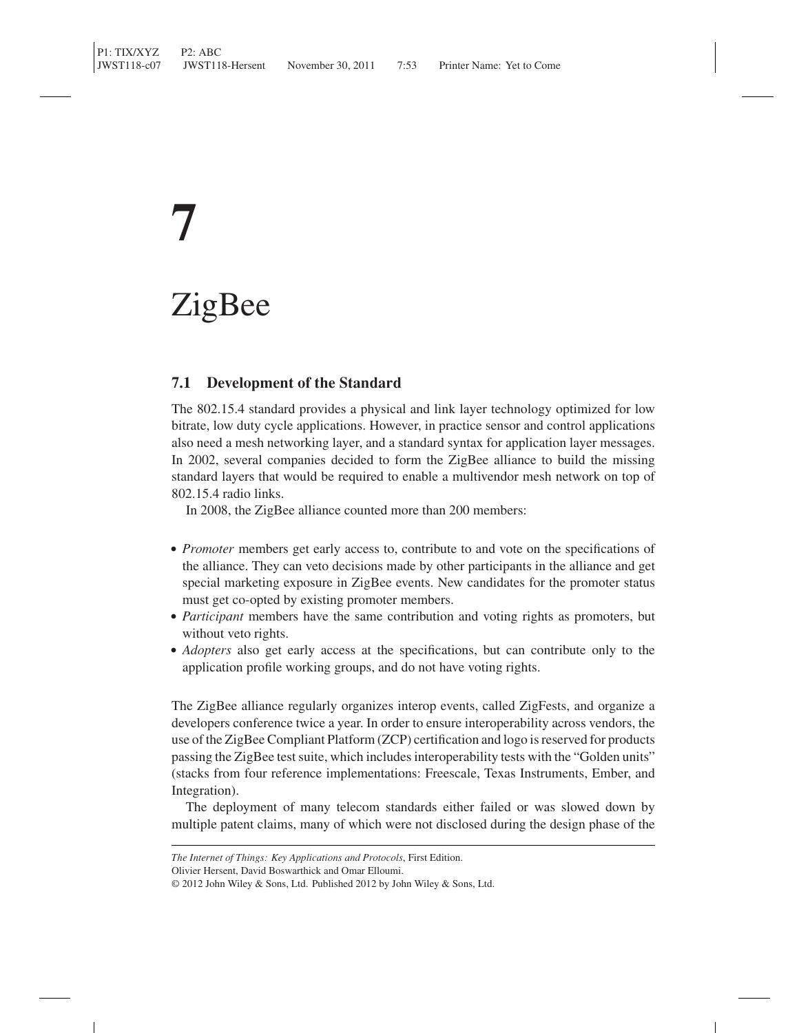# **7**

# ZigBee

# **7.1 Development of the Standard**

The 802.15.4 standard provides a physical and link layer technology optimized for low bitrate, low duty cycle applications. However, in practice sensor and control applications also need a mesh networking layer, and a standard syntax for application layer messages. In 2002, several companies decided to form the ZigBee alliance to build the missing standard layers that would be required to enable a multivendor mesh network on top of 802.15.4 radio links.

In 2008, the ZigBee alliance counted more than 200 members:

- Promoter members get early access to, contribute to and vote on the specifications of the alliance. They can veto decisions made by other participants in the alliance and get special marketing exposure in ZigBee events. New candidates for the promoter status must get co-opted by existing promoter members.
- *Participant* members have the same contribution and voting rights as promoters, but without veto rights.
- *Adopters* also get early access at the specifications, but can contribute only to the application profile working groups, and do not have voting rights.

The ZigBee alliance regularly organizes interop events, called ZigFests, and organize a developers conference twice a year. In order to ensure interoperability across vendors, the use of the ZigBee Compliant Platform (ZCP) certification and logo is reserved for products passing the ZigBee test suite, which includes interoperability tests with the "Golden units" (stacks from four reference implementations: Freescale, Texas Instruments, Ember, and Integration).

The deployment of many telecom standards either failed or was slowed down by multiple patent claims, many of which were not disclosed during the design phase of the

Olivier Hersent, David Boswarthick and Omar Elloumi.

*The Internet of Things: Key Applications and Protocols*, First Edition.

<sup>© 2012</sup> John Wiley & Sons, Ltd. Published 2012 by John Wiley & Sons, Ltd.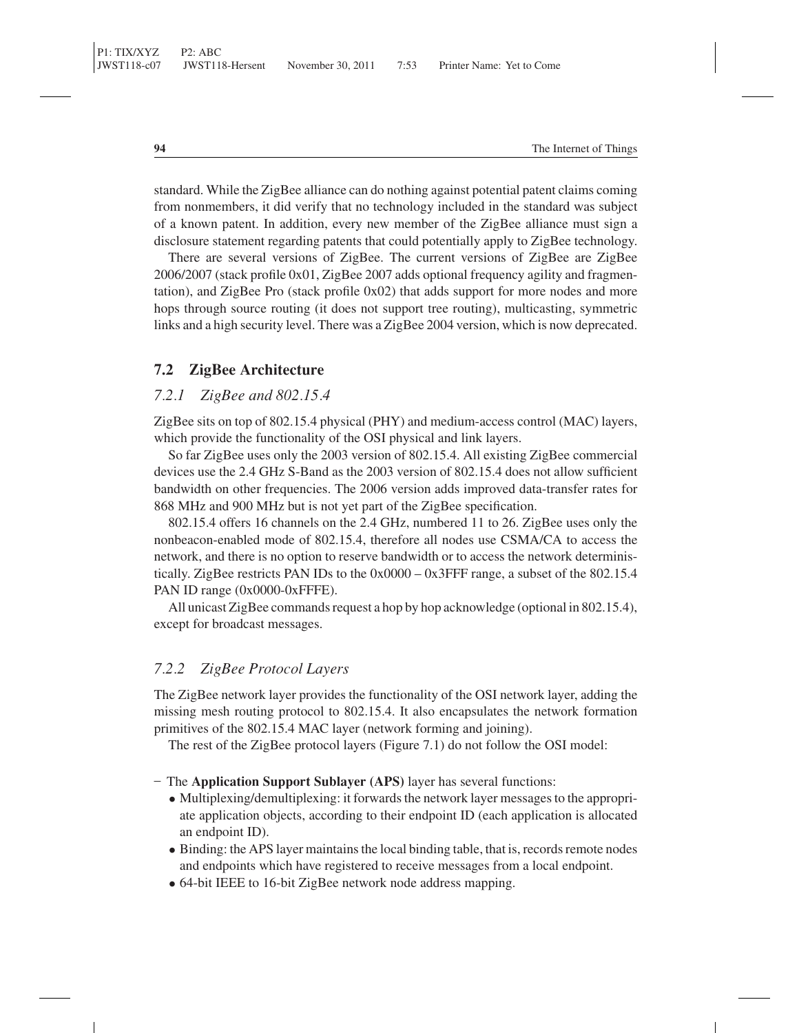standard. While the ZigBee alliance can do nothing against potential patent claims coming from nonmembers, it did verify that no technology included in the standard was subject of a known patent. In addition, every new member of the ZigBee alliance must sign a disclosure statement regarding patents that could potentially apply to ZigBee technology.

There are several versions of ZigBee. The current versions of ZigBee are ZigBee 2006/2007 (stack profile 0x01, ZigBee 2007 adds optional frequency agility and fragmentation), and ZigBee Pro (stack profile 0x02) that adds support for more nodes and more hops through source routing (it does not support tree routing), multicasting, symmetric links and a high security level. There was a ZigBee 2004 version, which is now deprecated.

#### **7.2 ZigBee Architecture**

#### *7.2.1 ZigBee and 802.15.4*

ZigBee sits on top of 802.15.4 physical (PHY) and medium-access control (MAC) layers, which provide the functionality of the OSI physical and link layers.

So far ZigBee uses only the 2003 version of 802.15.4. All existing ZigBee commercial devices use the 2.4 GHz S-Band as the 2003 version of 802.15.4 does not allow sufficient bandwidth on other frequencies. The 2006 version adds improved data-transfer rates for 868 MHz and 900 MHz but is not yet part of the ZigBee specification.

802.15.4 offers 16 channels on the 2.4 GHz, numbered 11 to 26. ZigBee uses only the nonbeacon-enabled mode of 802.15.4, therefore all nodes use CSMA/CA to access the network, and there is no option to reserve bandwidth or to access the network deterministically. ZigBee restricts PAN IDs to the 0x0000 – 0x3FFF range, a subset of the 802.15.4 PAN ID range (0x0000-0xFFFE).

All unicast ZigBee commands request a hop by hop acknowledge (optional in 802.15.4), except for broadcast messages.

#### *7.2.2 ZigBee Protocol Layers*

The ZigBee network layer provides the functionality of the OSI network layer, adding the missing mesh routing protocol to 802.15.4. It also encapsulates the network formation primitives of the 802.15.4 MAC layer (network forming and joining).

The rest of the ZigBee protocol layers (Figure 7.1) do not follow the OSI model:

– The **Application Support Sublayer (APS)** layer has several functions:

- Multiplexing/demultiplexing: it forwards the network layer messages to the appropriate application objects, according to their endpoint ID (each application is allocated an endpoint ID).
- Binding: the APS layer maintains the local binding table, that is, records remote nodes and endpoints which have registered to receive messages from a local endpoint.
- 64-bit IEEE to 16-bit ZigBee network node address mapping.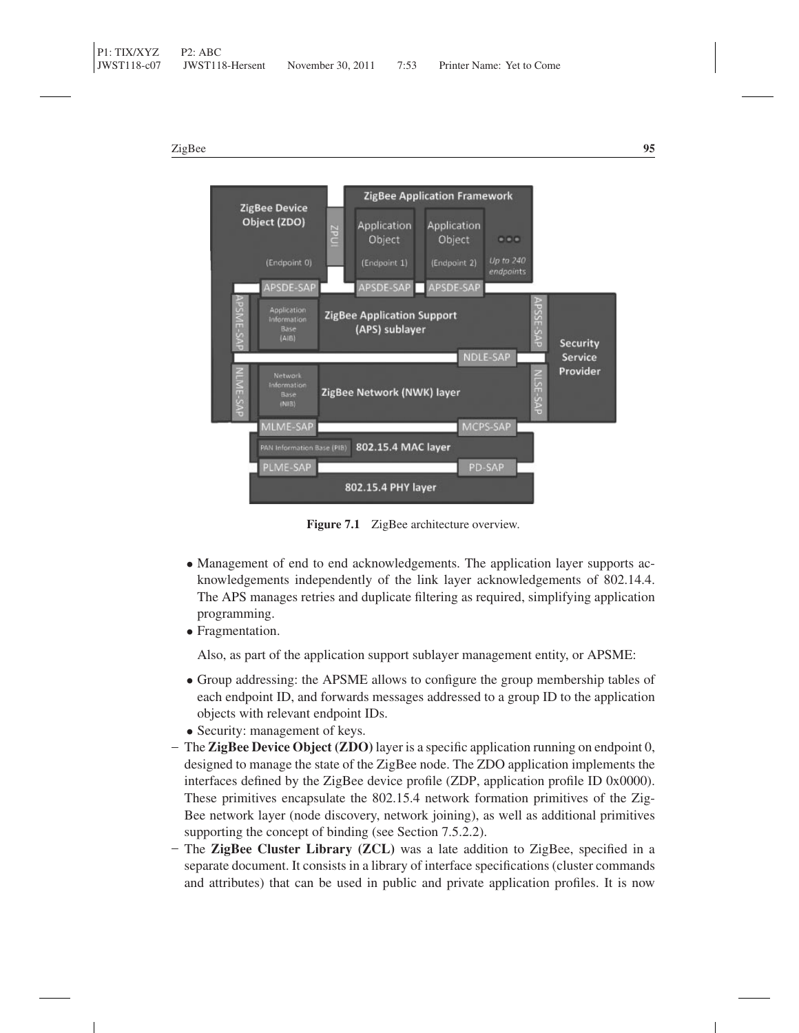

Figure 7.1 ZigBee architecture overview.

- Management of end to end acknowledgements. The application layer supports acknowledgements independently of the link layer acknowledgements of 802.14.4. The APS manages retries and duplicate filtering as required, simplifying application programming.
- Fragmentation.

Also, as part of the application support sublayer management entity, or APSME:

- Group addressing: the APSME allows to configure the group membership tables of each endpoint ID, and forwards messages addressed to a group ID to the application objects with relevant endpoint IDs.
- Security: management of keys.
- The **ZigBee Device Object (ZDO)** layer is a specific application running on endpoint 0, designed to manage the state of the ZigBee node. The ZDO application implements the interfaces defined by the ZigBee device profile (ZDP, application profile ID 0x0000). These primitives encapsulate the 802.15.4 network formation primitives of the Zig-Bee network layer (node discovery, network joining), as well as additional primitives supporting the concept of binding (see Section 7.5.2.2).
- The **ZigBee Cluster Library (ZCL)** was a late addition to ZigBee, specified in a separate document. It consists in a library of interface specifications (cluster commands and attributes) that can be used in public and private application profiles. It is now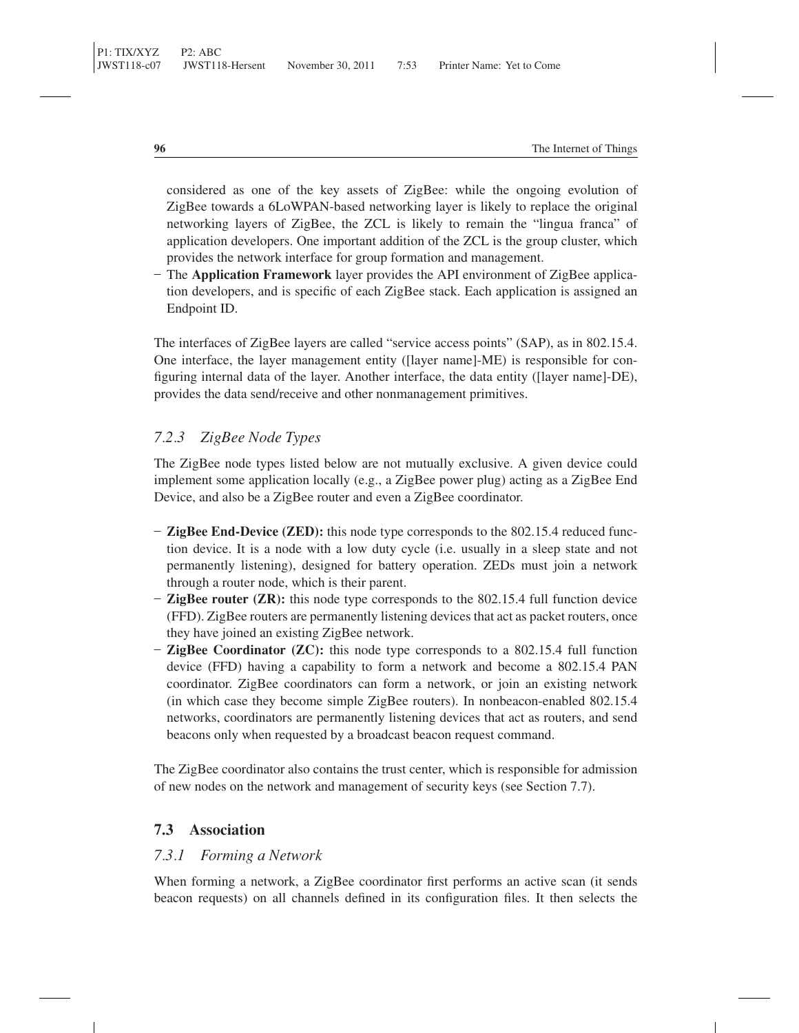considered as one of the key assets of ZigBee: while the ongoing evolution of ZigBee towards a 6LoWPAN-based networking layer is likely to replace the original networking layers of ZigBee, the ZCL is likely to remain the "lingua franca" of application developers. One important addition of the ZCL is the group cluster, which provides the network interface for group formation and management.

– The **Application Framework** layer provides the API environment of ZigBee application developers, and is specific of each ZigBee stack. Each application is assigned an Endpoint ID.

The interfaces of ZigBee layers are called "service access points" (SAP), as in 802.15.4. One interface, the layer management entity ([layer name]-ME) is responsible for configuring internal data of the layer. Another interface, the data entity ([layer name]-DE), provides the data send/receive and other nonmanagement primitives.

# *7.2.3 ZigBee Node Types*

The ZigBee node types listed below are not mutually exclusive. A given device could implement some application locally (e.g., a ZigBee power plug) acting as a ZigBee End Device, and also be a ZigBee router and even a ZigBee coordinator.

- **ZigBee End-Device (ZED):** this node type corresponds to the 802.15.4 reduced function device. It is a node with a low duty cycle (i.e. usually in a sleep state and not permanently listening), designed for battery operation. ZEDs must join a network through a router node, which is their parent.
- **ZigBee router (ZR):** this node type corresponds to the 802.15.4 full function device (FFD). ZigBee routers are permanently listening devices that act as packet routers, once they have joined an existing ZigBee network.
- **ZigBee Coordinator (ZC):** this node type corresponds to a 802.15.4 full function device (FFD) having a capability to form a network and become a 802.15.4 PAN coordinator. ZigBee coordinators can form a network, or join an existing network (in which case they become simple ZigBee routers). In nonbeacon-enabled 802.15.4 networks, coordinators are permanently listening devices that act as routers, and send beacons only when requested by a broadcast beacon request command.

The ZigBee coordinator also contains the trust center, which is responsible for admission of new nodes on the network and management of security keys (see Section 7.7).

# **7.3 Association**

# *7.3.1 Forming a Network*

When forming a network, a ZigBee coordinator first performs an active scan (it sends beacon requests) on all channels defined in its configuration files. It then selects the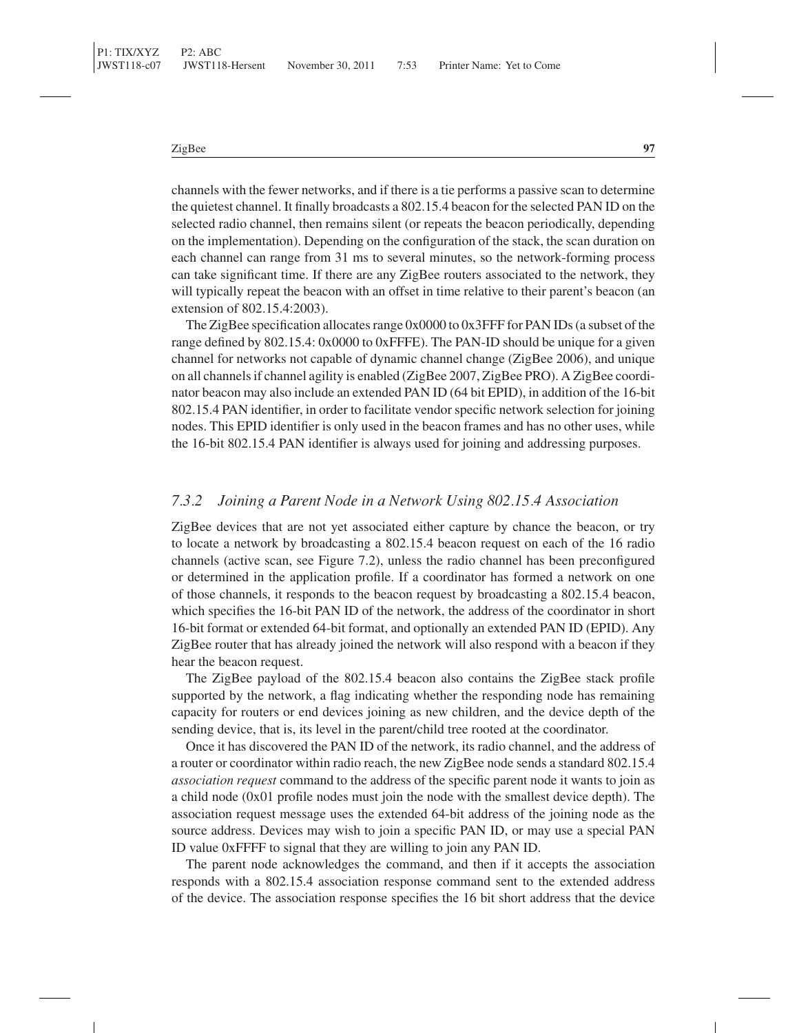channels with the fewer networks, and if there is a tie performs a passive scan to determine the quietest channel. It finally broadcasts a 802.15.4 beacon for the selected PAN ID on the selected radio channel, then remains silent (or repeats the beacon periodically, depending on the implementation). Depending on the configuration of the stack, the scan duration on each channel can range from 31 ms to several minutes, so the network-forming process can take significant time. If there are any ZigBee routers associated to the network, they will typically repeat the beacon with an offset in time relative to their parent's beacon (an extension of 802.15.4:2003).

The ZigBee specification allocates range 0x0000 to 0x3FFF for PAN IDs (a subset of the range defined by 802.15.4: 0x0000 to 0xFFFE). The PAN-ID should be unique for a given channel for networks not capable of dynamic channel change (ZigBee 2006), and unique on all channels if channel agility is enabled (ZigBee 2007, ZigBee PRO). A ZigBee coordinator beacon may also include an extended PAN ID (64 bit EPID), in addition of the 16-bit 802.15.4 PAN identifier, in order to facilitate vendor specific network selection for joining nodes. This EPID identifier is only used in the beacon frames and has no other uses, while the 16-bit 802.15.4 PAN identifier is always used for joining and addressing purposes.

#### *7.3.2 Joining a Parent Node in a Network Using 802.15.4 Association*

ZigBee devices that are not yet associated either capture by chance the beacon, or try to locate a network by broadcasting a 802.15.4 beacon request on each of the 16 radio channels (active scan, see Figure 7.2), unless the radio channel has been preconfigured or determined in the application profile. If a coordinator has formed a network on one of those channels, it responds to the beacon request by broadcasting a 802.15.4 beacon, which specifies the 16-bit PAN ID of the network, the address of the coordinator in short 16-bit format or extended 64-bit format, and optionally an extended PAN ID (EPID). Any ZigBee router that has already joined the network will also respond with a beacon if they hear the beacon request.

The ZigBee payload of the 802.15.4 beacon also contains the ZigBee stack profile supported by the network, a flag indicating whether the responding node has remaining capacity for routers or end devices joining as new children, and the device depth of the sending device, that is, its level in the parent/child tree rooted at the coordinator.

Once it has discovered the PAN ID of the network, its radio channel, and the address of a router or coordinator within radio reach, the new ZigBee node sends a standard 802.15.4 *association request* command to the address of the specific parent node it wants to join as a child node (0x01 profile nodes must join the node with the smallest device depth). The association request message uses the extended 64-bit address of the joining node as the source address. Devices may wish to join a specific PAN ID, or may use a special PAN ID value 0xFFFF to signal that they are willing to join any PAN ID.

The parent node acknowledges the command, and then if it accepts the association responds with a 802.15.4 association response command sent to the extended address of the device. The association response specifies the 16 bit short address that the device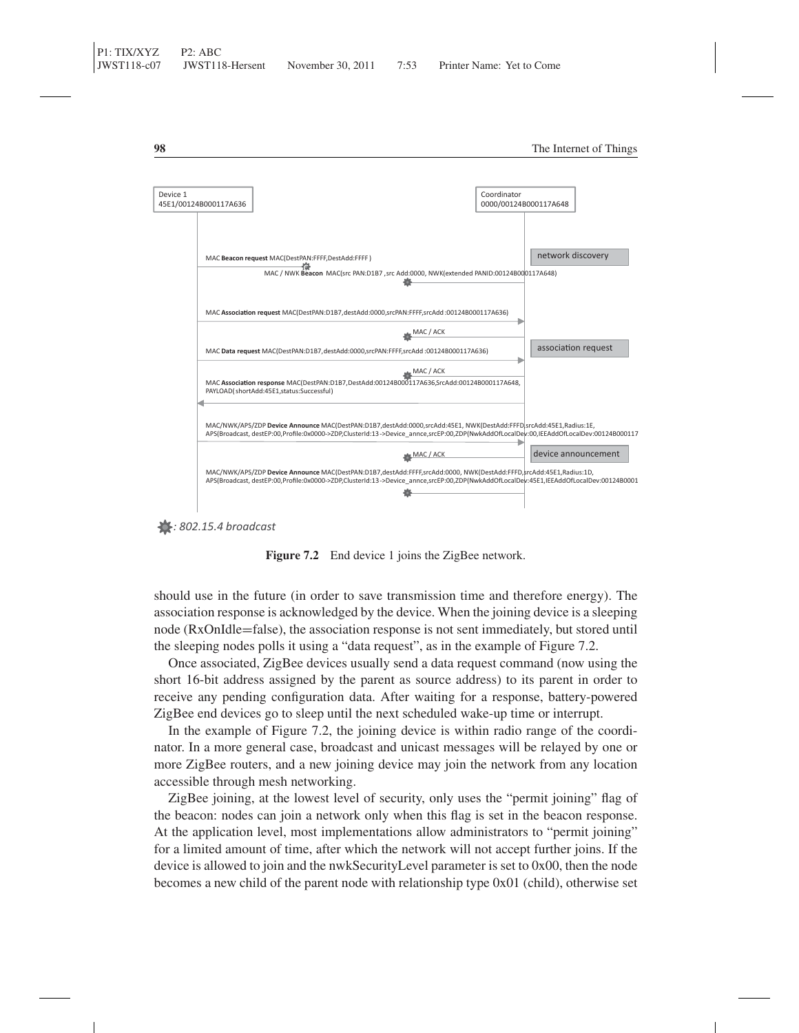

*: 802.15.4 broadcast*

**Figure 7.2** End device 1 joins the ZigBee network.

should use in the future (in order to save transmission time and therefore energy). The association response is acknowledged by the device. When the joining device is a sleeping node (RxOnIdle=false), the association response is not sent immediately, but stored until the sleeping nodes polls it using a "data request", as in the example of Figure 7.2.

Once associated, ZigBee devices usually send a data request command (now using the short 16-bit address assigned by the parent as source address) to its parent in order to receive any pending configuration data. After waiting for a response, battery-powered ZigBee end devices go to sleep until the next scheduled wake-up time or interrupt.

In the example of Figure 7.2, the joining device is within radio range of the coordinator. In a more general case, broadcast and unicast messages will be relayed by one or more ZigBee routers, and a new joining device may join the network from any location accessible through mesh networking.

ZigBee joining, at the lowest level of security, only uses the "permit joining" flag of the beacon: nodes can join a network only when this flag is set in the beacon response. At the application level, most implementations allow administrators to "permit joining" for a limited amount of time, after which the network will not accept further joins. If the device is allowed to join and the nwkSecurityLevel parameter is set to 0x00, then the node becomes a new child of the parent node with relationship type 0x01 (child), otherwise set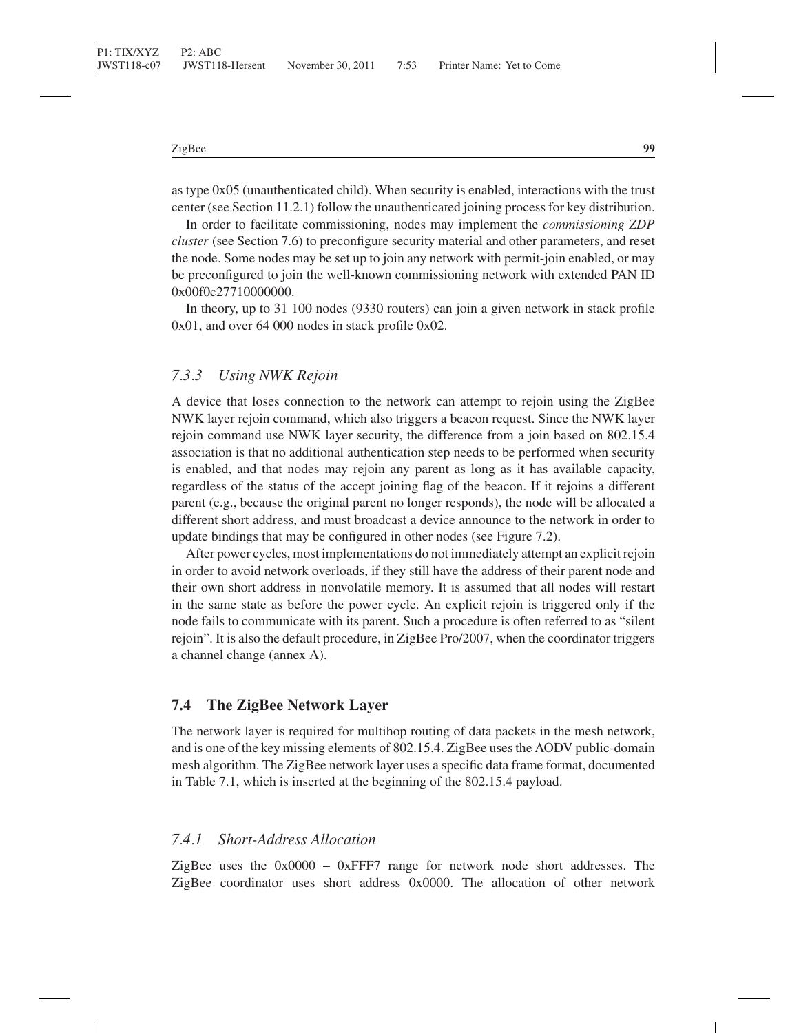as type 0x05 (unauthenticated child). When security is enabled, interactions with the trust center (see Section 11.2.1) follow the unauthenticated joining process for key distribution.

In order to facilitate commissioning, nodes may implement the *commissioning ZDP cluster* (see Section 7.6) to preconfigure security material and other parameters, and reset the node. Some nodes may be set up to join any network with permit-join enabled, or may be preconfigured to join the well-known commissioning network with extended PAN ID 0x00f0c27710000000.

In theory, up to 31 100 nodes (9330 routers) can join a given network in stack profile 0x01, and over 64 000 nodes in stack profile 0x02.

#### *7.3.3 Using NWK Rejoin*

A device that loses connection to the network can attempt to rejoin using the ZigBee NWK layer rejoin command, which also triggers a beacon request. Since the NWK layer rejoin command use NWK layer security, the difference from a join based on 802.15.4 association is that no additional authentication step needs to be performed when security is enabled, and that nodes may rejoin any parent as long as it has available capacity, regardless of the status of the accept joining flag of the beacon. If it rejoins a different parent (e.g., because the original parent no longer responds), the node will be allocated a different short address, and must broadcast a device announce to the network in order to update bindings that may be configured in other nodes (see Figure 7.2).

After power cycles, most implementations do not immediately attempt an explicit rejoin in order to avoid network overloads, if they still have the address of their parent node and their own short address in nonvolatile memory. It is assumed that all nodes will restart in the same state as before the power cycle. An explicit rejoin is triggered only if the node fails to communicate with its parent. Such a procedure is often referred to as "silent rejoin". It is also the default procedure, in ZigBee Pro/2007, when the coordinator triggers a channel change (annex A).

#### **7.4 The ZigBee Network Layer**

The network layer is required for multihop routing of data packets in the mesh network, and is one of the key missing elements of 802.15.4. ZigBee uses the AODV public-domain mesh algorithm. The ZigBee network layer uses a specific data frame format, documented in Table 7.1, which is inserted at the beginning of the 802.15.4 payload.

#### *7.4.1 Short-Address Allocation*

ZigBee uses the  $0x0000 - 0x$ FFF7 range for network node short addresses. The ZigBee coordinator uses short address 0x0000. The allocation of other network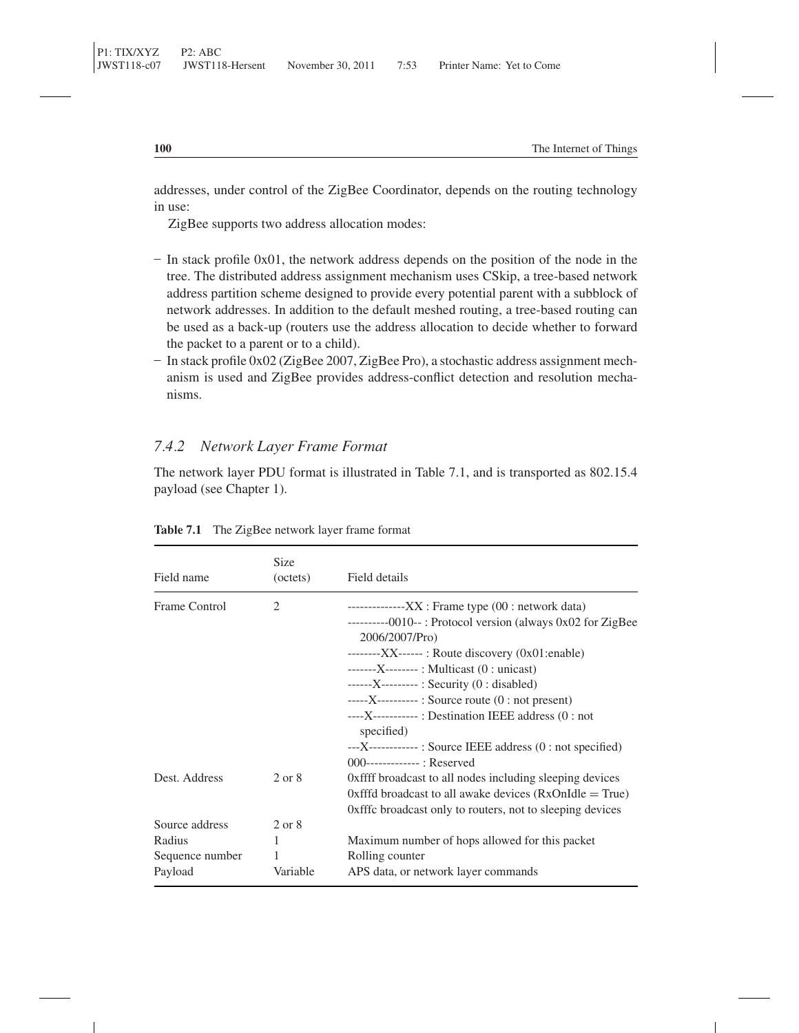addresses, under control of the ZigBee Coordinator, depends on the routing technology in use:

ZigBee supports two address allocation modes:

- In stack profile 0x01, the network address depends on the position of the node in the tree. The distributed address assignment mechanism uses CSkip, a tree-based network address partition scheme designed to provide every potential parent with a subblock of network addresses. In addition to the default meshed routing, a tree-based routing can be used as a back-up (routers use the address allocation to decide whether to forward the packet to a parent or to a child).
- In stack profile 0x02 (ZigBee 2007, ZigBee Pro), a stochastic address assignment mechanism is used and ZigBee provides address-conflict detection and resolution mechanisms.

# *7.4.2 Network Layer Frame Format*

The network layer PDU format is illustrated in Table 7.1, and is transported as 802.15.4 payload (see Chapter 1).

| Field name      | Size<br>(octets) | Field details                                                                                                                                                                                                                                                             |
|-----------------|------------------|---------------------------------------------------------------------------------------------------------------------------------------------------------------------------------------------------------------------------------------------------------------------------|
| Frame Control   | 2                | --------------- $XX:$ Frame type $(00:$ network data)<br>----------0010--: Protocol version (always 0x02 for ZigBee<br>2006/2007/Pro)<br>$---XX---$ : Route discovery (0x01:enable)<br>------- $X$ -------- : Multicast $(0:$ unicast)                                    |
|                 |                  | $---X$ ---------- : Security (0 : disabled)<br>$---X$ ----------- : Source route $(0: not present)$<br>----X----------- : Destination IEEE address (0 : not<br>specified)<br>$-X$ ------------ : Source IEEE address $(0: not specified)$<br>000-------------- : Reserved |
| Dest. Address   | 2 or 8           | 0xffff broadcast to all nodes including sleeping devices<br>$0x$ fffd broadcast to all awake devices ( $RxOn$ Idle = True)<br>0xfffc broadcast only to routers, not to sleeping devices                                                                                   |
| Source address  | 2 or 8           |                                                                                                                                                                                                                                                                           |
| Radius          | 1                | Maximum number of hops allowed for this packet                                                                                                                                                                                                                            |
| Sequence number | 1                | Rolling counter                                                                                                                                                                                                                                                           |
| Payload         | Variable         | APS data, or network layer commands                                                                                                                                                                                                                                       |

**Table 7.1** The ZigBee network layer frame format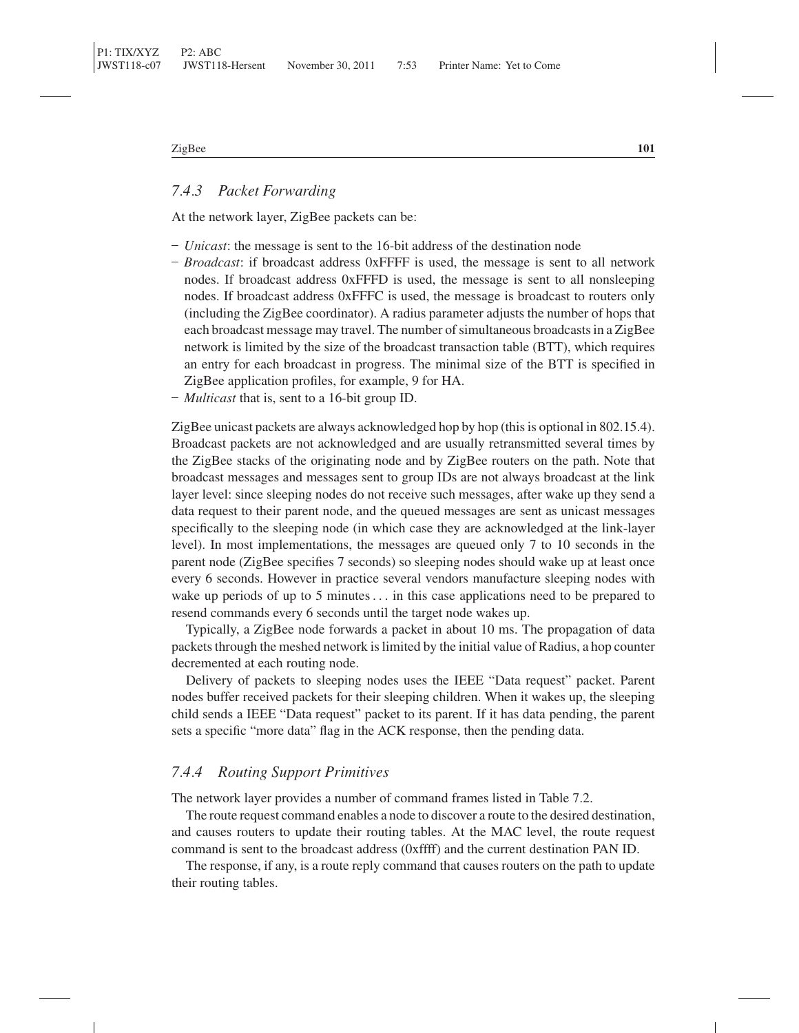#### *7.4.3 Packet Forwarding*

At the network layer, ZigBee packets can be:

- *Unicast*: the message is sent to the 16-bit address of the destination node
- *Broadcast*: if broadcast address 0xFFFF is used, the message is sent to all network nodes. If broadcast address 0xFFFD is used, the message is sent to all nonsleeping nodes. If broadcast address 0xFFFC is used, the message is broadcast to routers only (including the ZigBee coordinator). A radius parameter adjusts the number of hops that each broadcast message may travel. The number of simultaneous broadcasts in a ZigBee network is limited by the size of the broadcast transaction table (BTT), which requires an entry for each broadcast in progress. The minimal size of the BTT is specified in ZigBee application profiles, for example, 9 for HA.
- *Multicast* that is, sent to a 16-bit group ID.

ZigBee unicast packets are always acknowledged hop by hop (this is optional in 802.15.4). Broadcast packets are not acknowledged and are usually retransmitted several times by the ZigBee stacks of the originating node and by ZigBee routers on the path. Note that broadcast messages and messages sent to group IDs are not always broadcast at the link layer level: since sleeping nodes do not receive such messages, after wake up they send a data request to their parent node, and the queued messages are sent as unicast messages specifically to the sleeping node (in which case they are acknowledged at the link-layer level). In most implementations, the messages are queued only 7 to 10 seconds in the parent node (ZigBee specifies 7 seconds) so sleeping nodes should wake up at least once every 6 seconds. However in practice several vendors manufacture sleeping nodes with wake up periods of up to 5 minutes... in this case applications need to be prepared to resend commands every 6 seconds until the target node wakes up.

Typically, a ZigBee node forwards a packet in about 10 ms. The propagation of data packets through the meshed network is limited by the initial value of Radius, a hop counter decremented at each routing node.

Delivery of packets to sleeping nodes uses the IEEE "Data request" packet. Parent nodes buffer received packets for their sleeping children. When it wakes up, the sleeping child sends a IEEE "Data request" packet to its parent. If it has data pending, the parent sets a specific "more data" flag in the ACK response, then the pending data.

#### *7.4.4 Routing Support Primitives*

The network layer provides a number of command frames listed in Table 7.2.

The route request command enables a node to discover a route to the desired destination, and causes routers to update their routing tables. At the MAC level, the route request command is sent to the broadcast address (0xffff) and the current destination PAN ID.

The response, if any, is a route reply command that causes routers on the path to update their routing tables.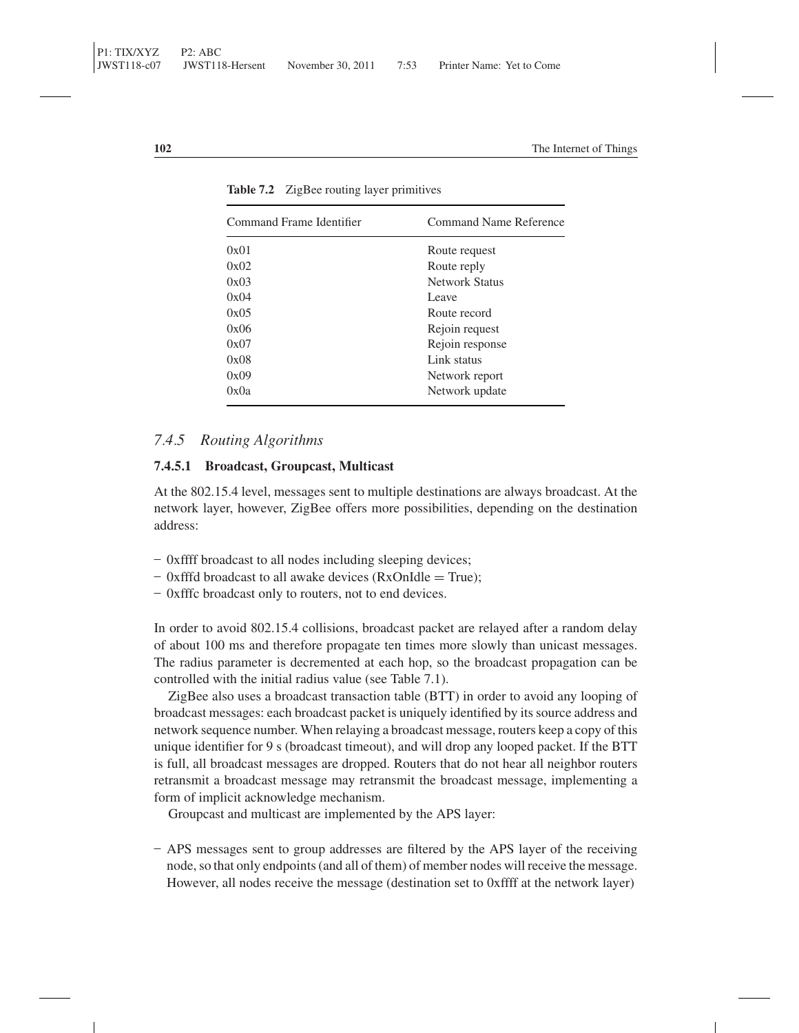| Command Frame Identifier | Command Name Reference |
|--------------------------|------------------------|
| 0x01                     | Route request          |
| 0x02                     | Route reply            |
| 0x03                     | <b>Network Status</b>  |
| 0x04                     | Leave                  |
| 0x05                     | Route record           |
| 0x06                     | Rejoin request         |
| 0x07                     | Rejoin response        |
| 0x08                     | Link status            |
| 0x09                     | Network report         |
| 0x0a                     | Network update         |

**Table 7.2** ZigBee routing layer primitives

#### *7.4.5 Routing Algorithms*

#### **7.4.5.1 Broadcast, Groupcast, Multicast**

At the 802.15.4 level, messages sent to multiple destinations are always broadcast. At the network layer, however, ZigBee offers more possibilities, depending on the destination address:

- 0xffff broadcast to all nodes including sleeping devices;
- $-$  0xfffd broadcast to all awake devices (RxOnIdle  $=$  True);
- 0xfffc broadcast only to routers, not to end devices.

In order to avoid 802.15.4 collisions, broadcast packet are relayed after a random delay of about 100 ms and therefore propagate ten times more slowly than unicast messages. The radius parameter is decremented at each hop, so the broadcast propagation can be controlled with the initial radius value (see Table 7.1).

ZigBee also uses a broadcast transaction table (BTT) in order to avoid any looping of broadcast messages: each broadcast packet is uniquely identified by its source address and network sequence number. When relaying a broadcast message, routers keep a copy of this unique identifier for 9 s (broadcast timeout), and will drop any looped packet. If the BTT is full, all broadcast messages are dropped. Routers that do not hear all neighbor routers retransmit a broadcast message may retransmit the broadcast message, implementing a form of implicit acknowledge mechanism.

Groupcast and multicast are implemented by the APS layer:

– APS messages sent to group addresses are filtered by the APS layer of the receiving node, so that only endpoints (and all of them) of member nodes will receive the message. However, all nodes receive the message (destination set to 0xffff at the network layer)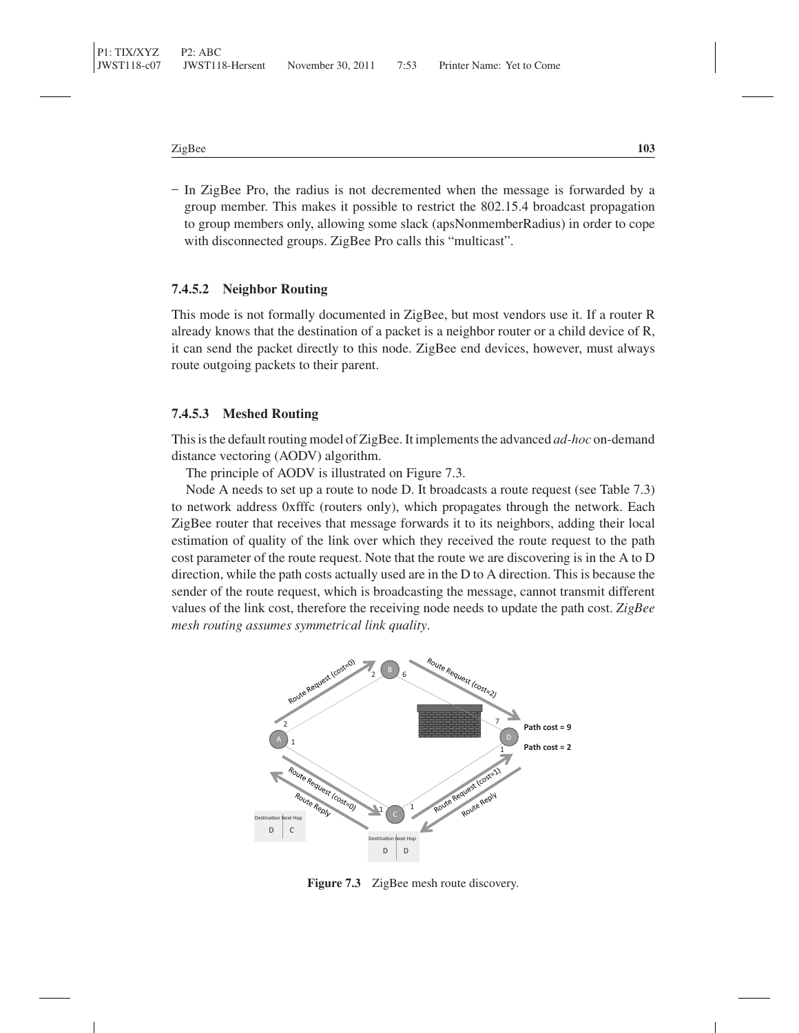– In ZigBee Pro, the radius is not decremented when the message is forwarded by a group member. This makes it possible to restrict the 802.15.4 broadcast propagation to group members only, allowing some slack (apsNonmemberRadius) in order to cope with disconnected groups. ZigBee Pro calls this "multicast".

#### **7.4.5.2 Neighbor Routing**

This mode is not formally documented in ZigBee, but most vendors use it. If a router R already knows that the destination of a packet is a neighbor router or a child device of R, it can send the packet directly to this node. ZigBee end devices, however, must always route outgoing packets to their parent.

#### **7.4.5.3 Meshed Routing**

This is the default routing model of ZigBee. It implements the advanced *ad-hoc* on-demand distance vectoring (AODV) algorithm.

The principle of AODV is illustrated on Figure 7.3.

Node A needs to set up a route to node D. It broadcasts a route request (see Table 7.3) to network address 0xfffc (routers only), which propagates through the network. Each ZigBee router that receives that message forwards it to its neighbors, adding their local estimation of quality of the link over which they received the route request to the path cost parameter of the route request. Note that the route we are discovering is in the A to D direction, while the path costs actually used are in the D to A direction. This is because the sender of the route request, which is broadcasting the message, cannot transmit different values of the link cost, therefore the receiving node needs to update the path cost. *ZigBee mesh routing assumes symmetrical link quality*.



**Figure 7.3** ZigBee mesh route discovery.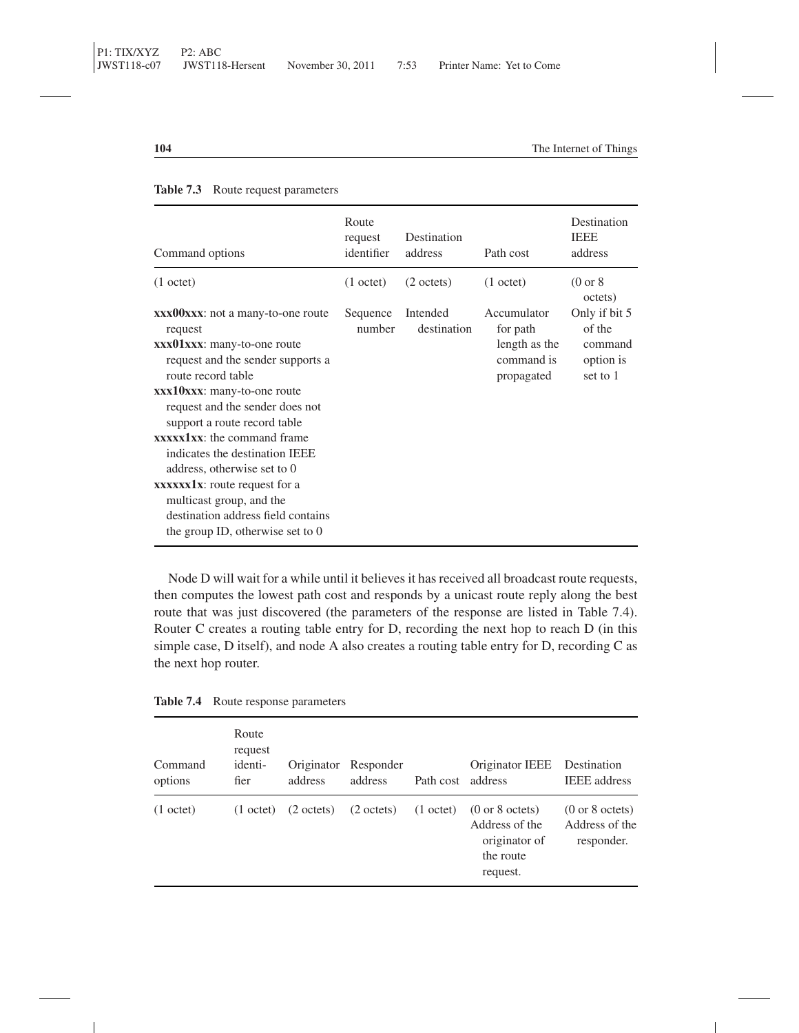| Command options                                                                                                                                                                                                                                                                                                                                                                                                                                                                                                               | Route<br>request<br>identifier | Destination<br>address  | Path cost                                                            | Destination<br><b>IEEE</b><br>address                       |
|-------------------------------------------------------------------------------------------------------------------------------------------------------------------------------------------------------------------------------------------------------------------------------------------------------------------------------------------------------------------------------------------------------------------------------------------------------------------------------------------------------------------------------|--------------------------------|-------------------------|----------------------------------------------------------------------|-------------------------------------------------------------|
| $(1$ octet)                                                                                                                                                                                                                                                                                                                                                                                                                                                                                                                   | $(1$ octet)                    | $(2 \text{ octets})$    | $(1$ octet)                                                          | $(0 \text{ or } 8)$<br>octets)                              |
| <b>xxx00xxx</b> : not a many-to-one route<br>request<br>$\bf$ <b>xxx01xxx</b> : many-to-one route<br>request and the sender supports a<br>route record table<br>$\bf$ <b>xxx10xxx</b> : many-to-one route<br>request and the sender does not<br>support a route record table<br>xxxxx1xx: the command frame<br>indicates the destination IEEE<br>address, otherwise set to 0<br><b>xxxxxx1x</b> : route request for a<br>multicast group, and the<br>destination address field contains<br>the group ID, otherwise set to $0$ | Sequence<br>number             | Intended<br>destination | Accumulator<br>for path<br>length as the<br>command is<br>propagated | Only if bit 5<br>of the<br>command<br>option is<br>set to 1 |

#### **Table 7.3** Route request parameters

Node D will wait for a while until it believes it has received all broadcast route requests, then computes the lowest path cost and responds by a unicast route reply along the best route that was just discovered (the parameters of the response are listed in Table 7.4). Router C creates a routing table entry for D, recording the next hop to reach D (in this simple case, D itself), and node A also creates a routing table entry for D, recording C as the next hop router.

| Command<br>options | Route<br>request<br>identi-<br>fier | Originator<br>address | Responder<br>address | Path cost   | Originator IEEE<br>address                                                                     | Destination<br><b>IEEE</b> address                                 |
|--------------------|-------------------------------------|-----------------------|----------------------|-------------|------------------------------------------------------------------------------------------------|--------------------------------------------------------------------|
| $(1$ octet)        | $(1$ octet)                         | $(2 \text{ octets})$  | $(2 \text{ octets})$ | $(1$ octet) | $(0 \text{ or } 8 \text{ octets})$<br>Address of the<br>originator of<br>the route<br>request. | $(0 \text{ or } 8 \text{ octets})$<br>Address of the<br>responder. |

#### **Table 7.4** Route response parameters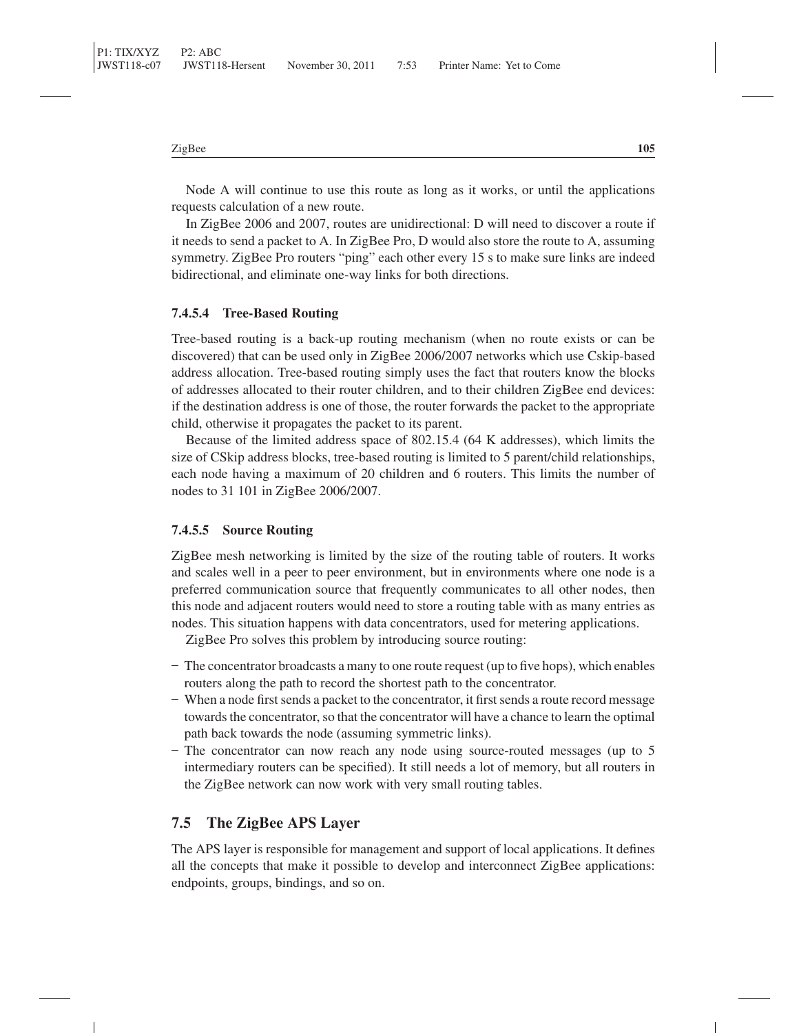Node A will continue to use this route as long as it works, or until the applications requests calculation of a new route.

In ZigBee 2006 and 2007, routes are unidirectional: D will need to discover a route if it needs to send a packet to A. In ZigBee Pro, D would also store the route to A, assuming symmetry. ZigBee Pro routers "ping" each other every 15 s to make sure links are indeed bidirectional, and eliminate one-way links for both directions.

#### **7.4.5.4 Tree-Based Routing**

Tree-based routing is a back-up routing mechanism (when no route exists or can be discovered) that can be used only in ZigBee 2006/2007 networks which use Cskip-based address allocation. Tree-based routing simply uses the fact that routers know the blocks of addresses allocated to their router children, and to their children ZigBee end devices: if the destination address is one of those, the router forwards the packet to the appropriate child, otherwise it propagates the packet to its parent.

Because of the limited address space of 802.15.4 (64 K addresses), which limits the size of CSkip address blocks, tree-based routing is limited to 5 parent/child relationships, each node having a maximum of 20 children and 6 routers. This limits the number of nodes to 31 101 in ZigBee 2006/2007.

#### **7.4.5.5 Source Routing**

ZigBee mesh networking is limited by the size of the routing table of routers. It works and scales well in a peer to peer environment, but in environments where one node is a preferred communication source that frequently communicates to all other nodes, then this node and adjacent routers would need to store a routing table with as many entries as nodes. This situation happens with data concentrators, used for metering applications.

ZigBee Pro solves this problem by introducing source routing:

- The concentrator broadcasts a many to one route request (up to five hops), which enables routers along the path to record the shortest path to the concentrator.
- When a node first sends a packet to the concentrator, it first sends a route record message towards the concentrator, so that the concentrator will have a chance to learn the optimal path back towards the node (assuming symmetric links).
- The concentrator can now reach any node using source-routed messages (up to 5 intermediary routers can be specified). It still needs a lot of memory, but all routers in the ZigBee network can now work with very small routing tables.

#### **7.5 The ZigBee APS Layer**

The APS layer is responsible for management and support of local applications. It defines all the concepts that make it possible to develop and interconnect ZigBee applications: endpoints, groups, bindings, and so on.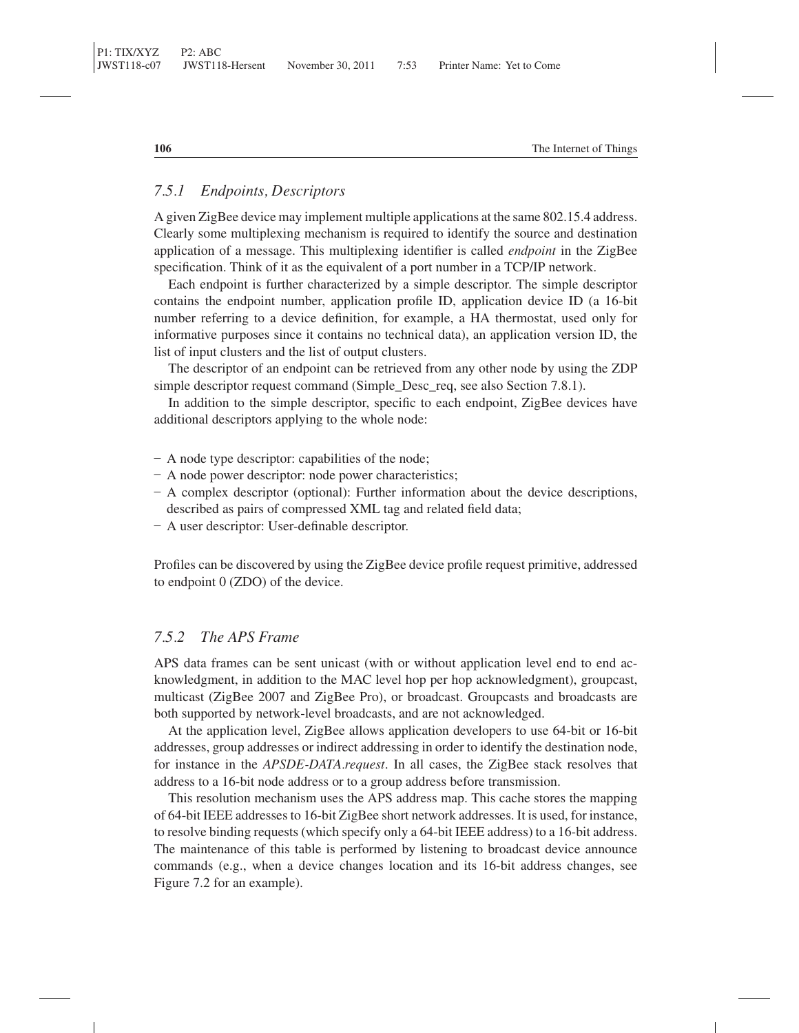#### *7.5.1 Endpoints, Descriptors*

A given ZigBee device may implement multiple applications at the same 802.15.4 address. Clearly some multiplexing mechanism is required to identify the source and destination application of a message. This multiplexing identifier is called *endpoint* in the ZigBee specification. Think of it as the equivalent of a port number in a TCP/IP network.

Each endpoint is further characterized by a simple descriptor. The simple descriptor contains the endpoint number, application profile ID, application device ID (a 16-bit number referring to a device definition, for example, a HA thermostat, used only for informative purposes since it contains no technical data), an application version ID, the list of input clusters and the list of output clusters.

The descriptor of an endpoint can be retrieved from any other node by using the ZDP simple descriptor request command (Simple\_Desc\_req, see also Section 7.8.1).

In addition to the simple descriptor, specific to each endpoint, ZigBee devices have additional descriptors applying to the whole node:

- A node type descriptor: capabilities of the node;
- A node power descriptor: node power characteristics;
- A complex descriptor (optional): Further information about the device descriptions, described as pairs of compressed XML tag and related field data;
- A user descriptor: User-definable descriptor.

Profiles can be discovered by using the ZigBee device profile request primitive, addressed to endpoint 0 (ZDO) of the device.

#### *7.5.2 The APS Frame*

APS data frames can be sent unicast (with or without application level end to end acknowledgment, in addition to the MAC level hop per hop acknowledgment), groupcast, multicast (ZigBee 2007 and ZigBee Pro), or broadcast. Groupcasts and broadcasts are both supported by network-level broadcasts, and are not acknowledged.

At the application level, ZigBee allows application developers to use 64-bit or 16-bit addresses, group addresses or indirect addressing in order to identify the destination node, for instance in the *APSDE-DATA.request*. In all cases, the ZigBee stack resolves that address to a 16-bit node address or to a group address before transmission.

This resolution mechanism uses the APS address map. This cache stores the mapping of 64-bit IEEE addresses to 16-bit ZigBee short network addresses. It is used, for instance, to resolve binding requests (which specify only a 64-bit IEEE address) to a 16-bit address. The maintenance of this table is performed by listening to broadcast device announce commands (e.g., when a device changes location and its 16-bit address changes, see Figure 7.2 for an example).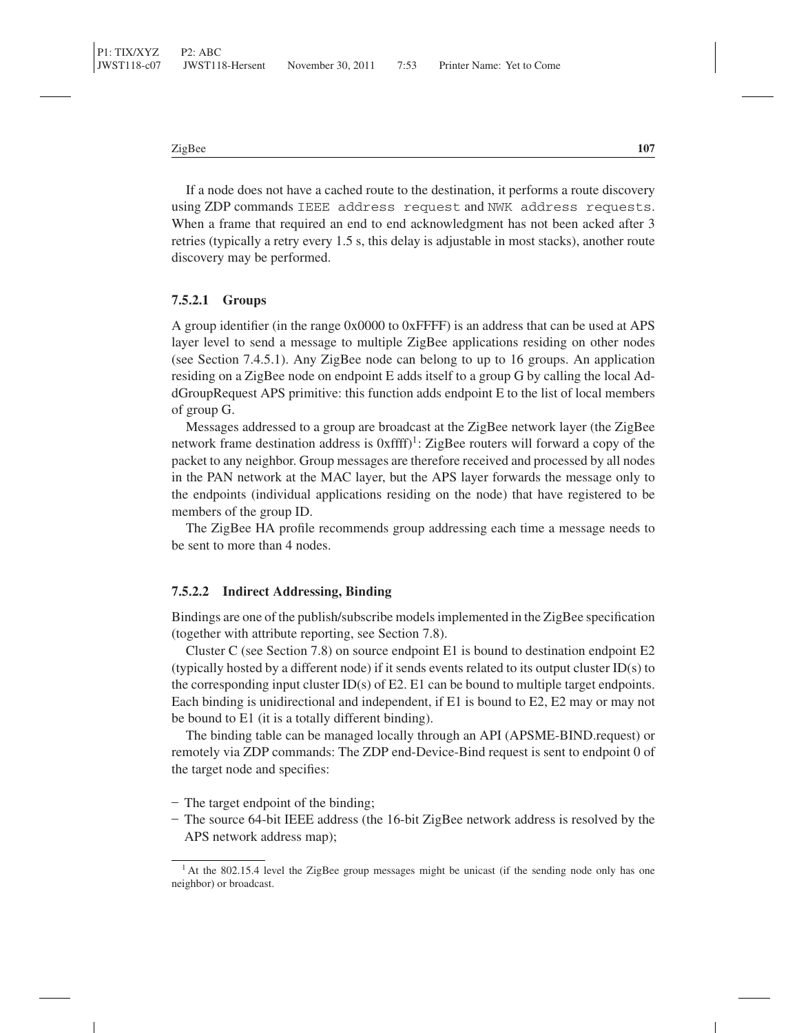If a node does not have a cached route to the destination, it performs a route discovery using ZDP commands IEEE address request and NWK address requests. When a frame that required an end to end acknowledgment has not been acked after 3 retries (typically a retry every 1.5 s, this delay is adjustable in most stacks), another route discovery may be performed.

#### **7.5.2.1 Groups**

A group identifier (in the range 0x0000 to 0xFFFF) is an address that can be used at APS layer level to send a message to multiple ZigBee applications residing on other nodes (see Section 7.4.5.1). Any ZigBee node can belong to up to 16 groups. An application residing on a ZigBee node on endpoint E adds itself to a group G by calling the local AddGroupRequest APS primitive: this function adds endpoint E to the list of local members of group G.

Messages addressed to a group are broadcast at the ZigBee network layer (the ZigBee network frame destination address is  $0x$ ffff)<sup>1</sup>: ZigBee routers will forward a copy of the packet to any neighbor. Group messages are therefore received and processed by all nodes in the PAN network at the MAC layer, but the APS layer forwards the message only to the endpoints (individual applications residing on the node) that have registered to be members of the group ID.

The ZigBee HA profile recommends group addressing each time a message needs to be sent to more than 4 nodes.

#### **7.5.2.2 Indirect Addressing, Binding**

Bindings are one of the publish/subscribe models implemented in the ZigBee specification (together with attribute reporting, see Section 7.8).

Cluster C (see Section 7.8) on source endpoint E1 is bound to destination endpoint E2 (typically hosted by a different node) if it sends events related to its output cluster ID(s) to the corresponding input cluster  $ID(s)$  of E2. E1 can be bound to multiple target endpoints. Each binding is unidirectional and independent, if E1 is bound to E2, E2 may or may not be bound to E1 (it is a totally different binding).

The binding table can be managed locally through an API (APSME-BIND.request) or remotely via ZDP commands: The ZDP end-Device-Bind request is sent to endpoint 0 of the target node and specifies:

- The target endpoint of the binding;
- The source 64-bit IEEE address (the 16-bit ZigBee network address is resolved by the APS network address map);

<sup>&</sup>lt;sup>1</sup> At the 802.15.4 level the ZigBee group messages might be unicast (if the sending node only has one neighbor) or broadcast.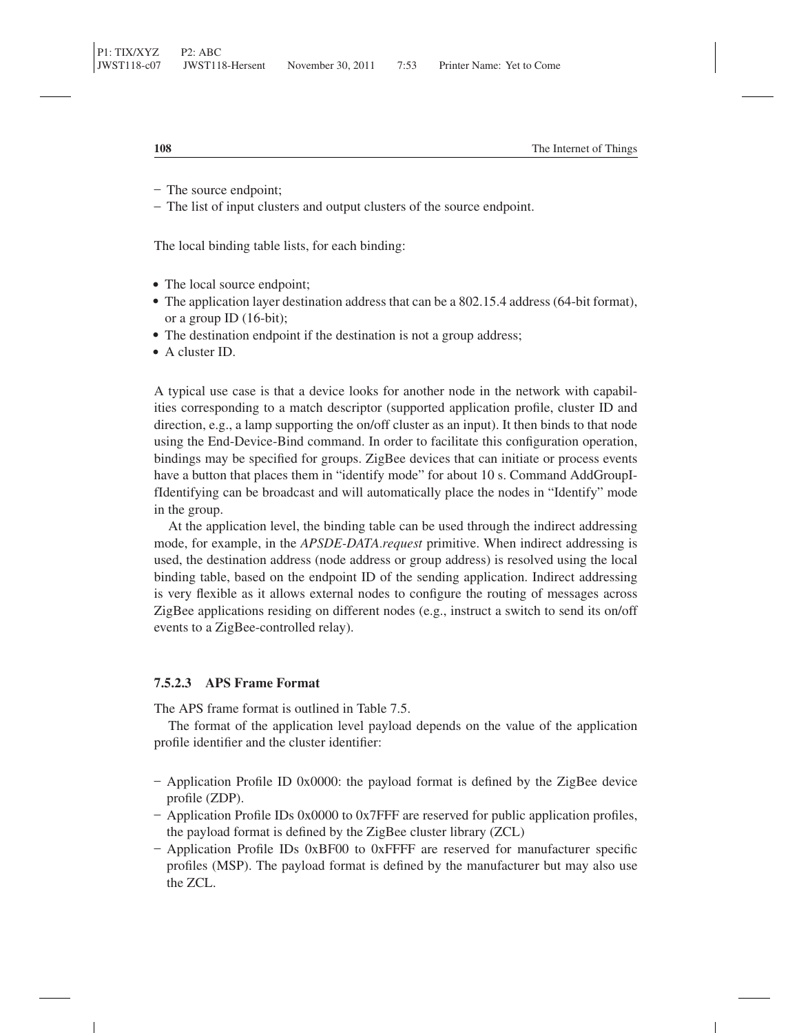- The source endpoint;
- The list of input clusters and output clusters of the source endpoint.

The local binding table lists, for each binding:

- The local source endpoint;
- The application layer destination address that can be a 802.15.4 address (64-bit format), or a group ID (16-bit);
- The destination endpoint if the destination is not a group address;
- A cluster ID.

A typical use case is that a device looks for another node in the network with capabilities corresponding to a match descriptor (supported application profile, cluster ID and direction, e.g., a lamp supporting the on/off cluster as an input). It then binds to that node using the End-Device-Bind command. In order to facilitate this configuration operation, bindings may be specified for groups. ZigBee devices that can initiate or process events have a button that places them in "identify mode" for about 10 s. Command AddGroupIfIdentifying can be broadcast and will automatically place the nodes in "Identify" mode in the group.

At the application level, the binding table can be used through the indirect addressing mode, for example, in the *APSDE-DATA.request* primitive. When indirect addressing is used, the destination address (node address or group address) is resolved using the local binding table, based on the endpoint ID of the sending application. Indirect addressing is very flexible as it allows external nodes to configure the routing of messages across ZigBee applications residing on different nodes (e.g., instruct a switch to send its on/off events to a ZigBee-controlled relay).

#### **7.5.2.3 APS Frame Format**

The APS frame format is outlined in Table 7.5.

The format of the application level payload depends on the value of the application profile identifier and the cluster identifier:

- $-$  Application Profile ID 0x0000: the payload format is defined by the ZigBee device profile (ZDP).
- Application Profile IDs 0x0000 to 0x7FFF are reserved for public application profiles, the payload format is defined by the ZigBee cluster library (ZCL)
- Application Profile IDs 0xBF00 to 0xFFFF are reserved for manufacturer specific profiles (MSP). The payload format is defined by the manufacturer but may also use the ZCL.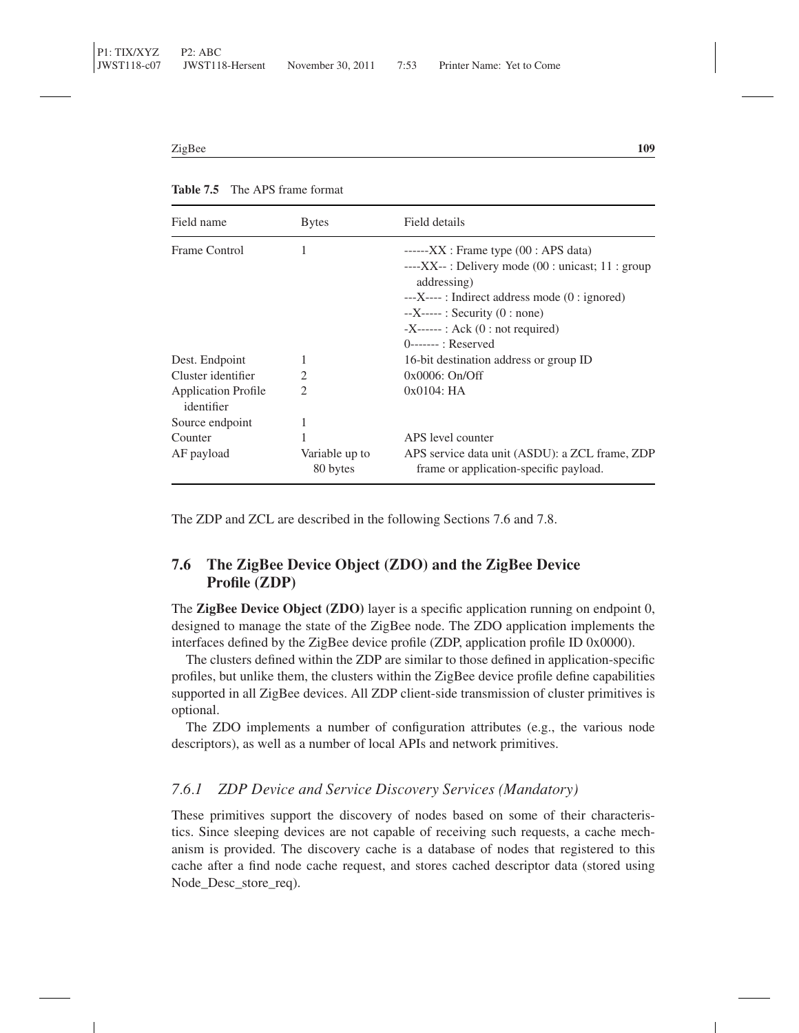| Field name                               | <b>Bytes</b>               | Field details                                                                                                                                                                                                                                                            |
|------------------------------------------|----------------------------|--------------------------------------------------------------------------------------------------------------------------------------------------------------------------------------------------------------------------------------------------------------------------|
| Frame Control                            | 1                          | ------ $XX$ : Frame type $(00 : APS$ data)<br>$---XX-$ : Delivery mode (00 : unicast; 11 : group<br>addressing)<br>$-X$ ----: Indirect address mode (0 : ignored)<br>$-X$ ----- : Security $(0:none)$<br>$-X$ ------ : Ack $(0: not required)$<br>$0$ ------- : Reserved |
| Dest. Endpoint                           | 1                          | 16-bit destination address or group ID                                                                                                                                                                                                                                   |
| Cluster identifier                       | $\mathfrak{D}$             | $0x0006$ : On/Off                                                                                                                                                                                                                                                        |
| <b>Application Profile</b><br>identifier | $\mathfrak{D}$             | $0x0104$ : HA                                                                                                                                                                                                                                                            |
| Source endpoint                          | 1                          |                                                                                                                                                                                                                                                                          |
| Counter                                  | 1                          | APS level counter                                                                                                                                                                                                                                                        |
| AF payload                               | Variable up to<br>80 bytes | APS service data unit (ASDU): a ZCL frame, ZDP<br>frame or application-specific payload.                                                                                                                                                                                 |

#### **Table 7.5** The APS frame format

The ZDP and ZCL are described in the following Sections 7.6 and 7.8.

# **7.6 The ZigBee Device Object (ZDO) and the ZigBee Device Profile (ZDP)**

The **ZigBee Device Object (ZDO)** layer is a specific application running on endpoint 0, designed to manage the state of the ZigBee node. The ZDO application implements the interfaces defined by the ZigBee device profile (ZDP, application profile ID 0x0000).

The clusters defined within the ZDP are similar to those defined in application-specific profiles, but unlike them, the clusters within the ZigBee device profile define capabilities supported in all ZigBee devices. All ZDP client-side transmission of cluster primitives is optional.

The ZDO implements a number of configuration attributes (e.g., the various node descriptors), as well as a number of local APIs and network primitives.

#### *7.6.1 ZDP Device and Service Discovery Services (Mandatory)*

These primitives support the discovery of nodes based on some of their characteristics. Since sleeping devices are not capable of receiving such requests, a cache mechanism is provided. The discovery cache is a database of nodes that registered to this cache after a find node cache request, and stores cached descriptor data (stored using Node\_Desc\_store\_req).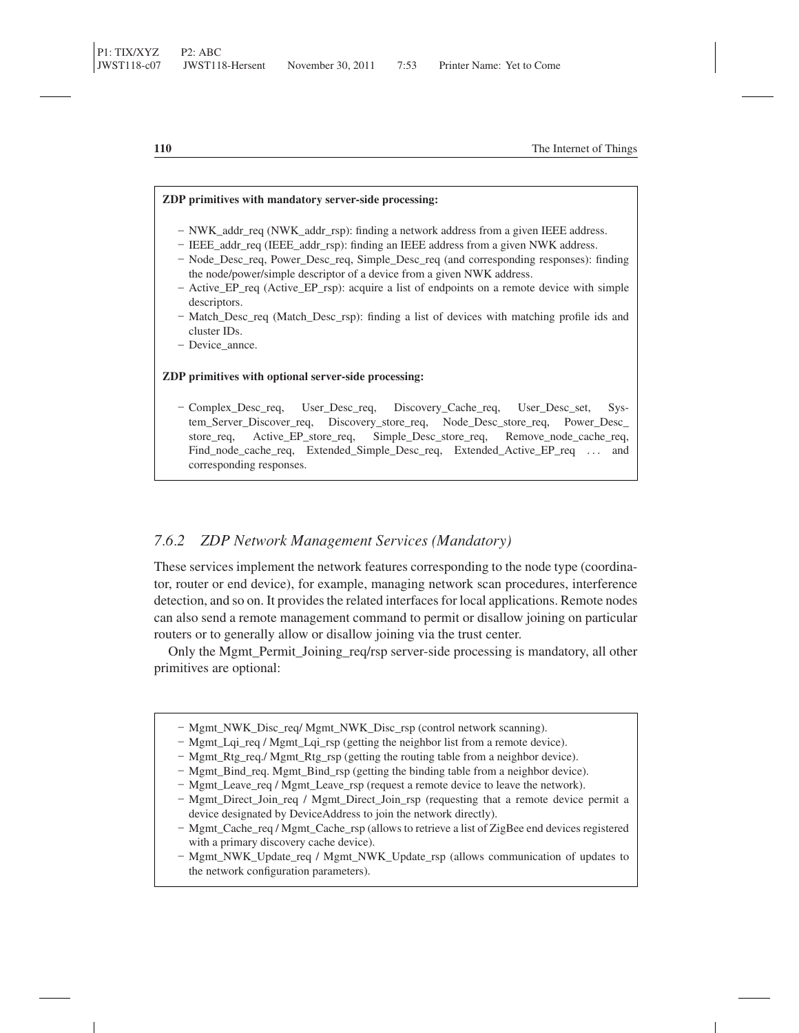#### **ZDP primitives with mandatory server-side processing:**

- NWK\_addr\_req (NWK\_addr\_rsp): finding a network address from a given IEEE address.
- IEEE\_addr\_req (IEEE\_addr\_rsp): finding an IEEE address from a given NWK address.
- Node\_Desc\_req, Power\_Desc\_req, Simple\_Desc\_req (and corresponding responses): finding the node/power/simple descriptor of a device from a given NWK address.
- $-$  Active EP req (Active EP rsp): acquire a list of endpoints on a remote device with simple descriptors.
- Match\_Desc\_req (Match\_Desc\_rsp): finding a list of devices with matching profile ids and cluster IDs.
- Device\_annce.

#### **ZDP primitives with optional server-side processing:**

– Complex\_Desc\_req, User\_Desc\_req, Discovery\_Cache\_req, User\_Desc\_set, System Server Discover req, Discovery store req, Node Desc store req, Power Desc store\_req, Active\_EP\_store\_req, Simple\_Desc\_store\_req, Remove\_node\_cache\_req, Find node cache req. Extended Simple Desc req. Extended Active EP req ... and corresponding responses.

## *7.6.2 ZDP Network Management Services (Mandatory)*

These services implement the network features corresponding to the node type (coordinator, router or end device), for example, managing network scan procedures, interference detection, and so on. It provides the related interfaces for local applications. Remote nodes can also send a remote management command to permit or disallow joining on particular routers or to generally allow or disallow joining via the trust center.

Only the Mgmt\_Permit\_Joining\_req/rsp server-side processing is mandatory, all other primitives are optional:

- Mgmt\_NWK\_Disc\_req/ Mgmt\_NWK\_Disc\_rsp (control network scanning).
- Mgmt\_Lqi\_req / Mgmt\_Lqi\_rsp (getting the neighbor list from a remote device).
- Mgmt\_Rtg\_req./ Mgmt\_Rtg\_rsp (getting the routing table from a neighbor device).
- Mgmt\_Bind\_req. Mgmt\_Bind\_rsp (getting the binding table from a neighbor device).
- Mgmt\_Leave\_req / Mgmt\_Leave\_rsp (request a remote device to leave the network).
- Mgmt\_Direct\_Join\_req / Mgmt\_Direct\_Join\_rsp (requesting that a remote device permit a device designated by DeviceAddress to join the network directly).
- $-$  Mgmt\_Cache\_req / Mgmt\_Cache\_rsp (allows to retrieve a list of ZigBee end devices registered with a primary discovery cache device).
- Mgmt\_NWK\_Update\_req / Mgmt\_NWK\_Update\_rsp (allows communication of updates to the network configuration parameters).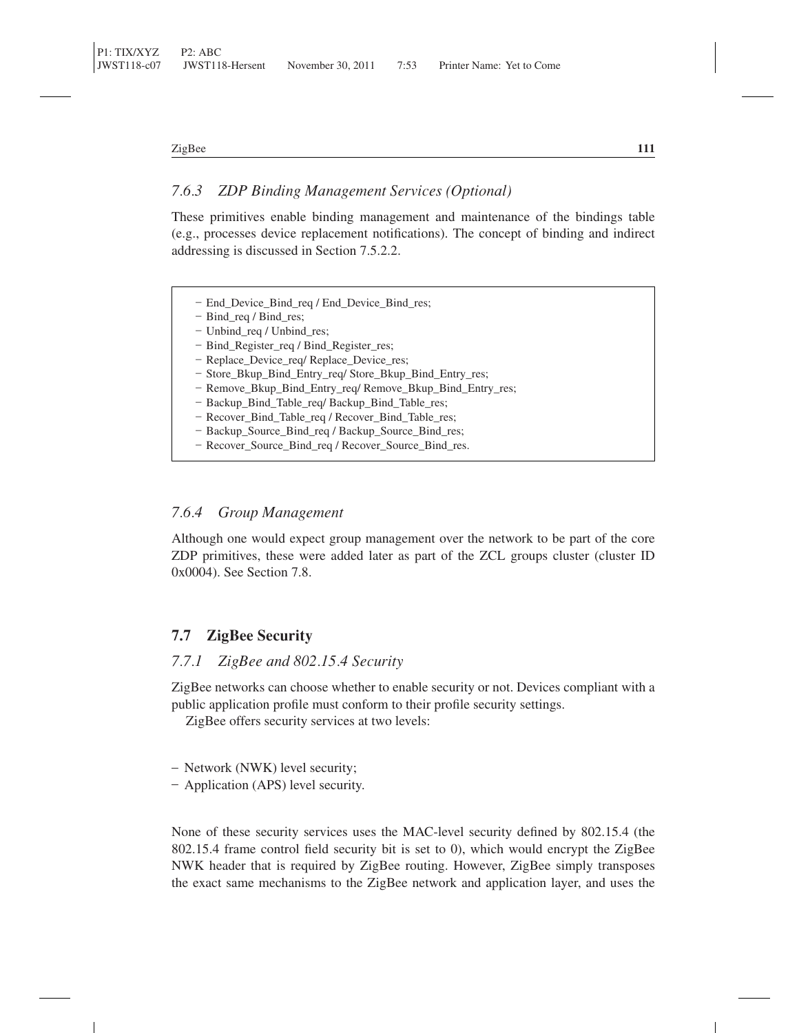# *7.6.3 ZDP Binding Management Services (Optional)*

These primitives enable binding management and maintenance of the bindings table (e.g., processes device replacement notifications). The concept of binding and indirect addressing is discussed in Section 7.5.2.2.

- End\_Device\_Bind\_req / End\_Device\_Bind\_res;
- Bind\_req / Bind\_res;
- Unbind\_req / Unbind\_res;
- Bind\_Register\_req / Bind\_Register\_res;
- Replace\_Device\_req/ Replace\_Device\_res;
- Store\_Bkup\_Bind\_Entry\_req/ Store\_Bkup\_Bind\_Entry\_res;
- Remove\_Bkup\_Bind\_Entry\_req/ Remove\_Bkup\_Bind\_Entry\_res;
- Backup\_Bind\_Table\_req/ Backup\_Bind\_Table\_res;
- Recover\_Bind\_Table\_req / Recover\_Bind\_Table\_res;
- Backup\_Source\_Bind\_req / Backup\_Source\_Bind\_res;
- Recover\_Source\_Bind\_req / Recover\_Source\_Bind\_res.

# *7.6.4 Group Management*

Although one would expect group management over the network to be part of the core ZDP primitives, these were added later as part of the ZCL groups cluster (cluster ID 0x0004). See Section 7.8.

# **7.7 ZigBee Security**

# *7.7.1 ZigBee and 802.15.4 Security*

ZigBee networks can choose whether to enable security or not. Devices compliant with a public application profile must conform to their profile security settings.

ZigBee offers security services at two levels:

- Network (NWK) level security;
- Application (APS) level security.

None of these security services uses the MAC-level security defined by 802.15.4 (the 802.15.4 frame control field security bit is set to 0), which would encrypt the ZigBee NWK header that is required by ZigBee routing. However, ZigBee simply transposes the exact same mechanisms to the ZigBee network and application layer, and uses the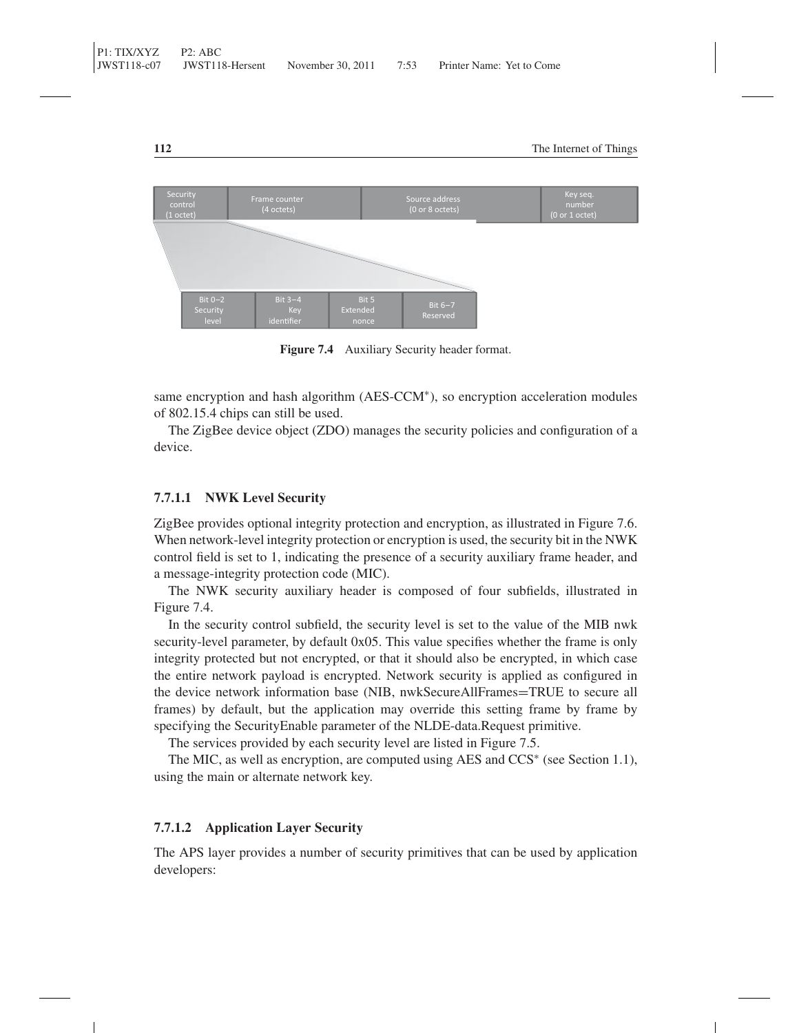

**Figure 7.4** Auxiliary Security header format.

same encryption and hash algorithm (AES-CCM<sup>∗</sup>), so encryption acceleration modules of 802.15.4 chips can still be used.

The ZigBee device object (ZDO) manages the security policies and configuration of a device.

#### **7.7.1.1 NWK Level Security**

ZigBee provides optional integrity protection and encryption, as illustrated in Figure 7.6. When network-level integrity protection or encryption is used, the security bit in the NWK control field is set to 1, indicating the presence of a security auxiliary frame header, and a message-integrity protection code (MIC).

The NWK security auxiliary header is composed of four subfields, illustrated in Figure 7.4.

In the security control subfield, the security level is set to the value of the MIB nwk security-level parameter, by default 0x05. This value specifies whether the frame is only integrity protected but not encrypted, or that it should also be encrypted, in which case the entire network payload is encrypted. Network security is applied as configured in the device network information base (NIB, nwkSecureAllFrames=TRUE to secure all frames) by default, but the application may override this setting frame by frame by specifying the SecurityEnable parameter of the NLDE-data.Request primitive.

The services provided by each security level are listed in Figure 7.5.

The MIC, as well as encryption, are computed using AES and CCS<sup>∗</sup> (see Section 1.1), using the main or alternate network key.

#### **7.7.1.2 Application Layer Security**

The APS layer provides a number of security primitives that can be used by application developers: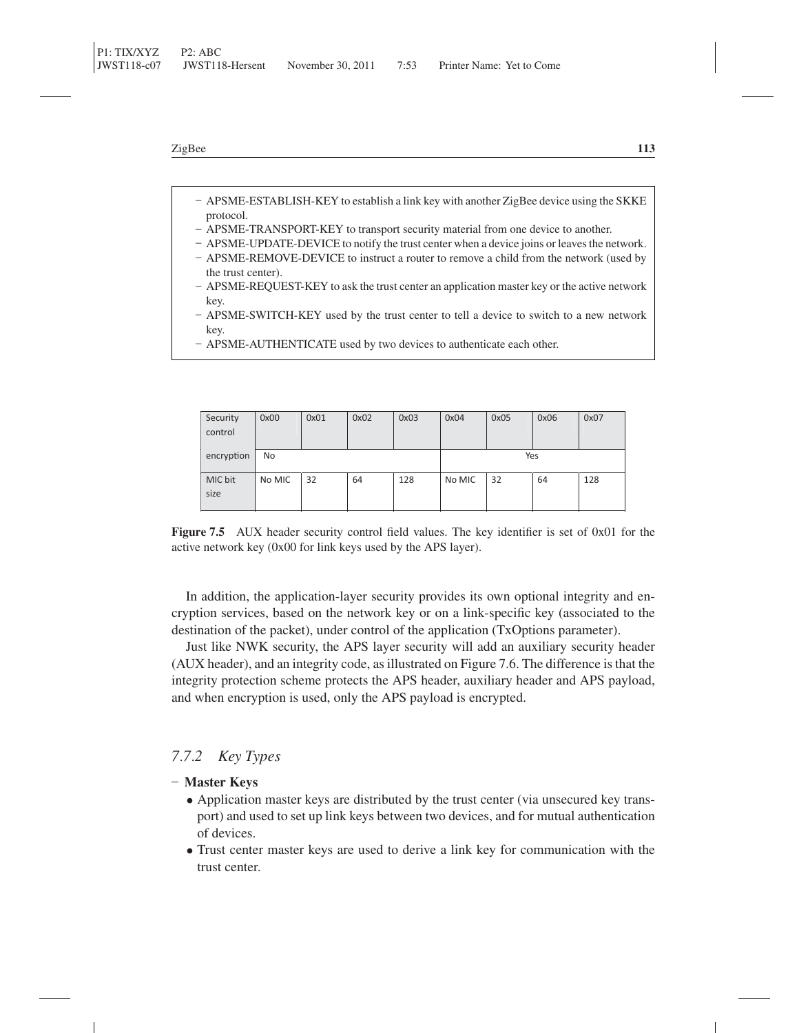- APSME-ESTABLISH-KEY to establish a link key with another ZigBee device using the SKKE protocol.
- APSME-TRANSPORT-KEY to transport security material from one device to another.
- APSME-UPDATE-DEVICE to notify the trust center when a device joins or leaves the network.
- APSME-REMOVE-DEVICE to instruct a router to remove a child from the network (used by the trust center).
- APSME-REQUEST-KEY to ask the trust center an application master key or the active network key.
- APSME-SWITCH-KEY used by the trust center to tell a device to switch to a new network key.
- APSME-AUTHENTICATE used by two devices to authenticate each other.

| Security        | 0x00   | 0x01 | 0x02 | 0x03 | 0x04   | 0x05 | 0x06 | 0x07 |
|-----------------|--------|------|------|------|--------|------|------|------|
| control         |        |      |      |      |        |      |      |      |
|                 |        |      |      |      |        |      |      |      |
| encryption      | No     |      |      | Yes  |        |      |      |      |
| MIC bit<br>size | No MIC | 32   | 64   | 128  | No MIC | 32   | 64   | 128  |

**Figure 7.5** AUX header security control field values. The key identifier is set of 0x01 for the active network key (0x00 for link keys used by the APS layer).

In addition, the application-layer security provides its own optional integrity and encryption services, based on the network key or on a link-specific key (associated to the destination of the packet), under control of the application (TxOptions parameter).

Just like NWK security, the APS layer security will add an auxiliary security header (AUX header), and an integrity code, as illustrated on Figure 7.6. The difference is that the integrity protection scheme protects the APS header, auxiliary header and APS payload, and when encryption is used, only the APS payload is encrypted.

### *7.7.2 Key Types*

- **Master Keys**
	- Application master keys are distributed by the trust center (via unsecured key transport) and used to set up link keys between two devices, and for mutual authentication of devices.
	- Trust center master keys are used to derive a link key for communication with the trust center.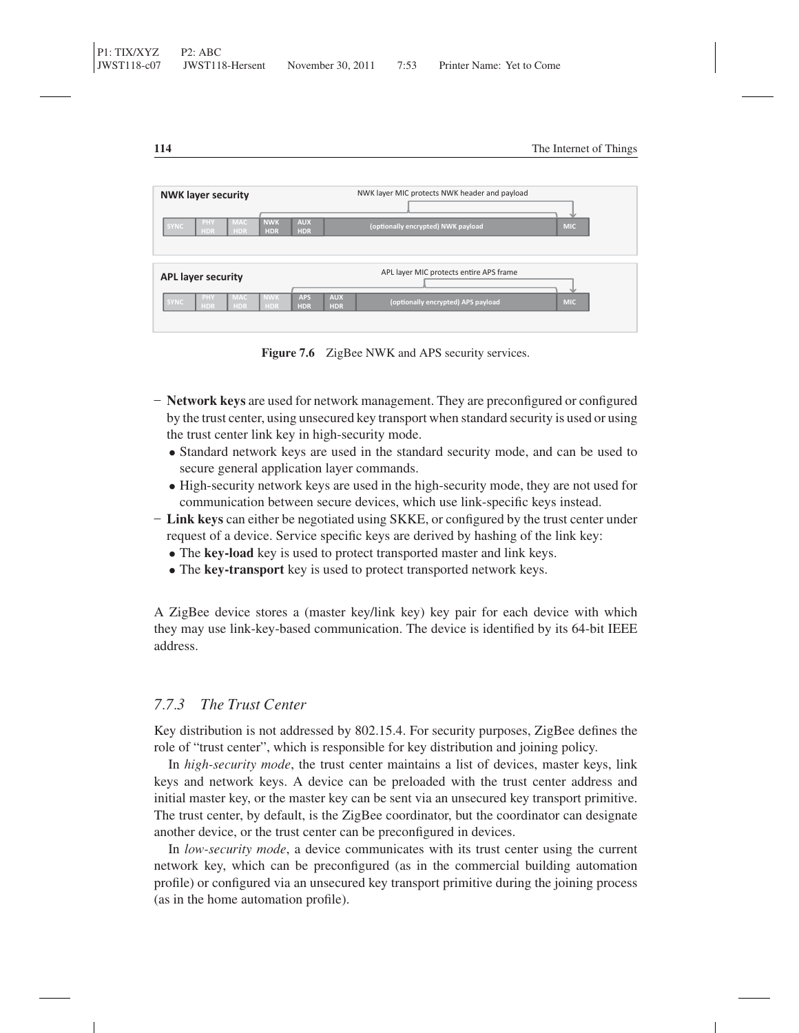| <b>NWK layer security</b> |                   |                          | NWK layer MIC protects NWK header and payload |                          |                          |                                         |            |  |
|---------------------------|-------------------|--------------------------|-----------------------------------------------|--------------------------|--------------------------|-----------------------------------------|------------|--|
|                           |                   |                          |                                               |                          |                          |                                         |            |  |
| SYNC                      | PHY<br><b>HDR</b> | <b>MAC</b><br>HDR        | <b>NWK</b><br><b>HDR</b>                      | <b>AUX</b><br><b>HDR</b> |                          | (optionally encrypted) NWK payload      | <b>MIC</b> |  |
|                           |                   |                          |                                               |                          |                          |                                         |            |  |
|                           |                   |                          |                                               |                          |                          |                                         |            |  |
|                           |                   |                          |                                               |                          |                          |                                         |            |  |
| <b>APL layer security</b> |                   |                          |                                               |                          |                          | APL layer MIC protects entire APS frame |            |  |
| SYNC                      | PHY<br><b>HDR</b> | <b>MAC</b><br><b>HDR</b> | <b>NWK</b><br><b>HDR</b>                      | <b>APS</b><br><b>HDR</b> | <b>AUX</b><br><b>HDR</b> | (optionally encrypted) APS payload      | <b>MIC</b> |  |

Figure 7.6 ZigBee NWK and APS security services.

- **Network keys** are used for network management. They are preconfigured or configured by the trust center, using unsecured key transport when standard security is used or using the trust center link key in high-security mode.
	- Standard network keys are used in the standard security mode, and can be used to secure general application layer commands.
	- High-security network keys are used in the high-security mode, they are not used for communication between secure devices, which use link-specific keys instead.
- **Link keys** can either be negotiated using SKKE, or configured by the trust center under request of a device. Service specific keys are derived by hashing of the link key:
	- The **key-load** key is used to protect transported master and link keys.
	- The **key-transport** key is used to protect transported network keys.

A ZigBee device stores a (master key/link key) key pair for each device with which they may use link-key-based communication. The device is identified by its 64-bit IEEE address.

#### *7.7.3 The Trust Center*

Key distribution is not addressed by 802.15.4. For security purposes, ZigBee defines the role of "trust center", which is responsible for key distribution and joining policy.

In *high-security mode*, the trust center maintains a list of devices, master keys, link keys and network keys. A device can be preloaded with the trust center address and initial master key, or the master key can be sent via an unsecured key transport primitive. The trust center, by default, is the ZigBee coordinator, but the coordinator can designate another device, or the trust center can be preconfigured in devices.

In *low-security mode*, a device communicates with its trust center using the current network key, which can be preconfigured (as in the commercial building automation profile) or configured via an unsecured key transport primitive during the joining process (as in the home automation profile).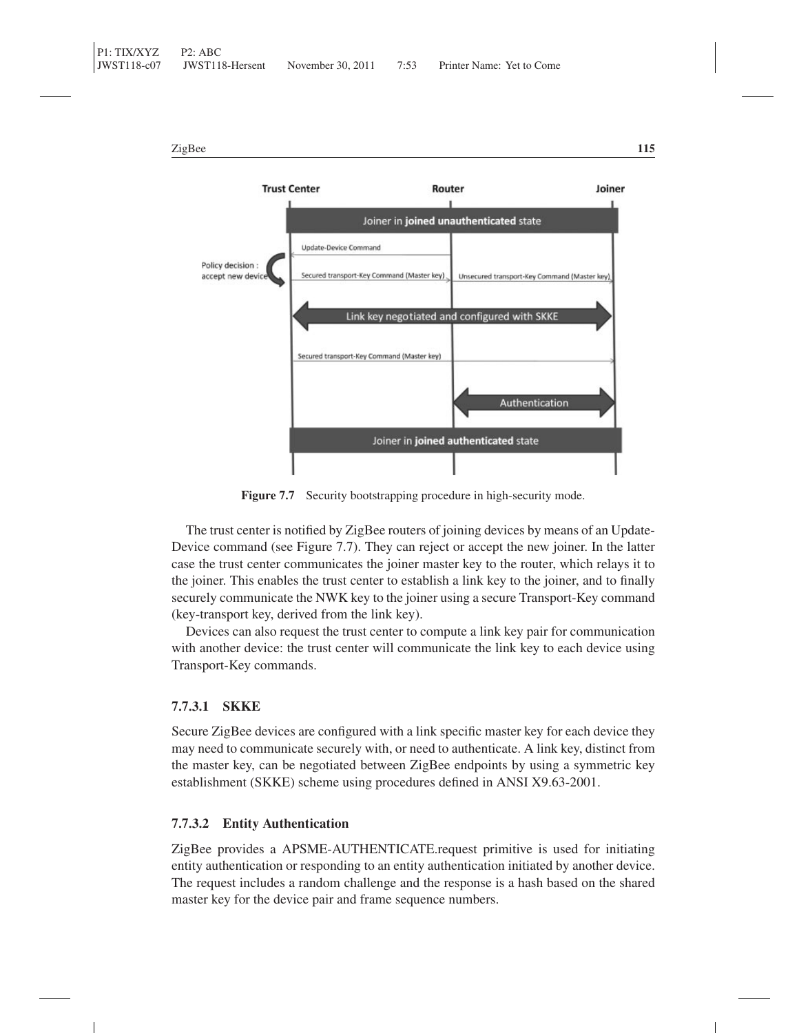

**Figure 7.7** Security bootstrapping procedure in high-security mode.

The trust center is notified by ZigBee routers of joining devices by means of an Update-Device command (see Figure 7.7). They can reject or accept the new joiner. In the latter case the trust center communicates the joiner master key to the router, which relays it to the joiner. This enables the trust center to establish a link key to the joiner, and to finally securely communicate the NWK key to the joiner using a secure Transport-Key command (key-transport key, derived from the link key).

Devices can also request the trust center to compute a link key pair for communication with another device: the trust center will communicate the link key to each device using Transport-Key commands.

#### **7.7.3.1 SKKE**

Secure ZigBee devices are configured with a link specific master key for each device they may need to communicate securely with, or need to authenticate. A link key, distinct from the master key, can be negotiated between ZigBee endpoints by using a symmetric key establishment (SKKE) scheme using procedures defined in ANSI X9.63-2001.

#### **7.7.3.2 Entity Authentication**

ZigBee provides a APSME-AUTHENTICATE.request primitive is used for initiating entity authentication or responding to an entity authentication initiated by another device. The request includes a random challenge and the response is a hash based on the shared master key for the device pair and frame sequence numbers.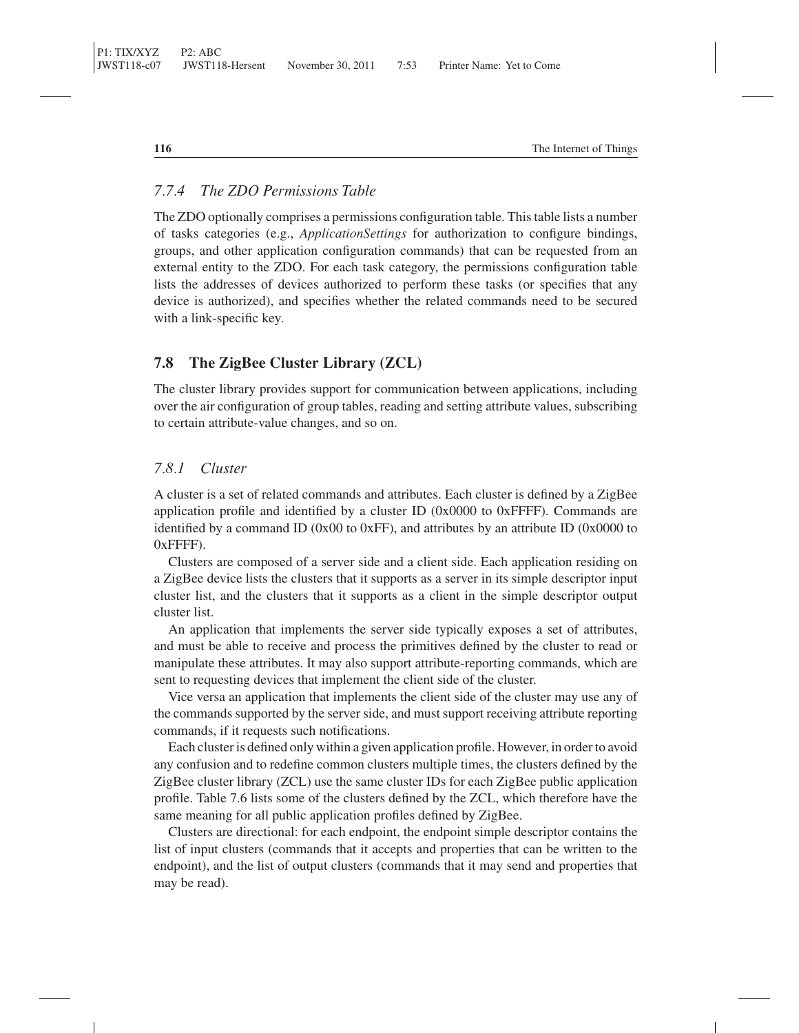#### *7.7.4 The ZDO Permissions Table*

The ZDO optionally comprises a permissions configuration table. This table lists a number of tasks categories (e.g., *ApplicationSettings* for authorization to configure bindings, groups, and other application configuration commands) that can be requested from an external entity to the ZDO. For each task category, the permissions configuration table lists the addresses of devices authorized to perform these tasks (or specifies that any device is authorized), and specifies whether the related commands need to be secured with a link-specific key.

#### **7.8 The ZigBee Cluster Library (ZCL)**

The cluster library provides support for communication between applications, including over the air configuration of group tables, reading and setting attribute values, subscribing to certain attribute-value changes, and so on.

#### *7.8.1 Cluster*

A cluster is a set of related commands and attributes. Each cluster is defined by a ZigBee application profile and identified by a cluster ID (0x0000 to 0xFFFF). Commands are identified by a command ID (0x00 to 0xFF), and attributes by an attribute ID (0x0000 to 0xFFFF).

Clusters are composed of a server side and a client side. Each application residing on a ZigBee device lists the clusters that it supports as a server in its simple descriptor input cluster list, and the clusters that it supports as a client in the simple descriptor output cluster list.

An application that implements the server side typically exposes a set of attributes, and must be able to receive and process the primitives defined by the cluster to read or manipulate these attributes. It may also support attribute-reporting commands, which are sent to requesting devices that implement the client side of the cluster.

Vice versa an application that implements the client side of the cluster may use any of the commands supported by the server side, and must support receiving attribute reporting commands, if it requests such notifications.

Each cluster is defined only within a given application profile. However, in order to avoid any confusion and to redefine common clusters multiple times, the clusters defined by the ZigBee cluster library (ZCL) use the same cluster IDs for each ZigBee public application profile. Table 7.6 lists some of the clusters defined by the ZCL, which therefore have the same meaning for all public application profiles defined by ZigBee.

Clusters are directional: for each endpoint, the endpoint simple descriptor contains the list of input clusters (commands that it accepts and properties that can be written to the endpoint), and the list of output clusters (commands that it may send and properties that may be read).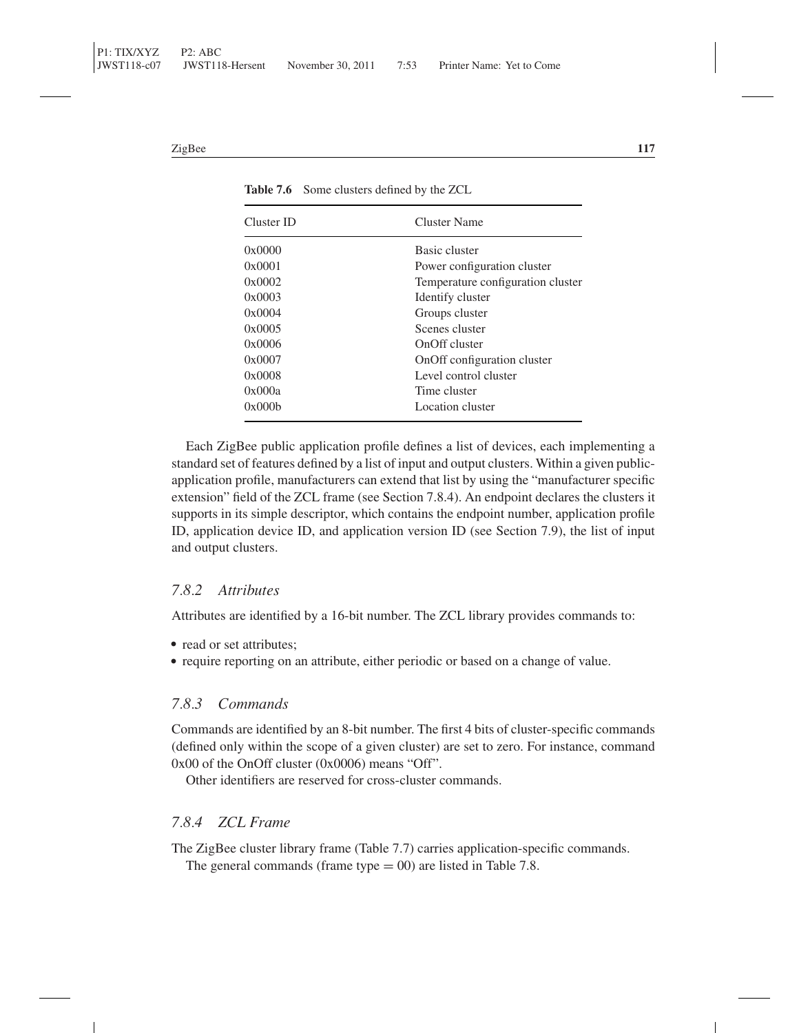| Cluster ID | Cluster Name                      |
|------------|-----------------------------------|
| 0x0000     | Basic cluster                     |
| 0x0001     | Power configuration cluster       |
| 0x0002     | Temperature configuration cluster |
| 0x0003     | Identify cluster                  |
| 0x0004     | Groups cluster                    |
| 0x0005     | Scenes cluster                    |
| 0x0006     | OnOff cluster                     |
| 0x0007     | OnOff configuration cluster       |
| 0x0008     | Level control cluster             |
| 0x000a     | Time cluster                      |
| 0x000b     | Location cluster                  |

Table 7.6 Some clusters defined by the ZCL

Each ZigBee public application profile defines a list of devices, each implementing a standard set of features defined by a list of input and output clusters. Within a given publicapplication profile, manufacturers can extend that list by using the "manufacturer specific extension" field of the ZCL frame (see Section 7.8.4). An endpoint declares the clusters it supports in its simple descriptor, which contains the endpoint number, application profile ID, application device ID, and application version ID (see Section 7.9), the list of input and output clusters.

# *7.8.2 Attributes*

Attributes are identified by a 16-bit number. The ZCL library provides commands to:

- read or set attributes;
- require reporting on an attribute, either periodic or based on a change of value.

#### *7.8.3 Commands*

Commands are identified by an 8-bit number. The first 4 bits of cluster-specific commands (defined only within the scope of a given cluster) are set to zero. For instance, command  $0x00$  of the OnOff cluster  $(0x0006)$  means "Off".

Other identifiers are reserved for cross-cluster commands.

# *7.8.4 ZCL Frame*

The ZigBee cluster library frame (Table 7.7) carries application-specific commands. The general commands (frame type  $= 00$ ) are listed in Table 7.8.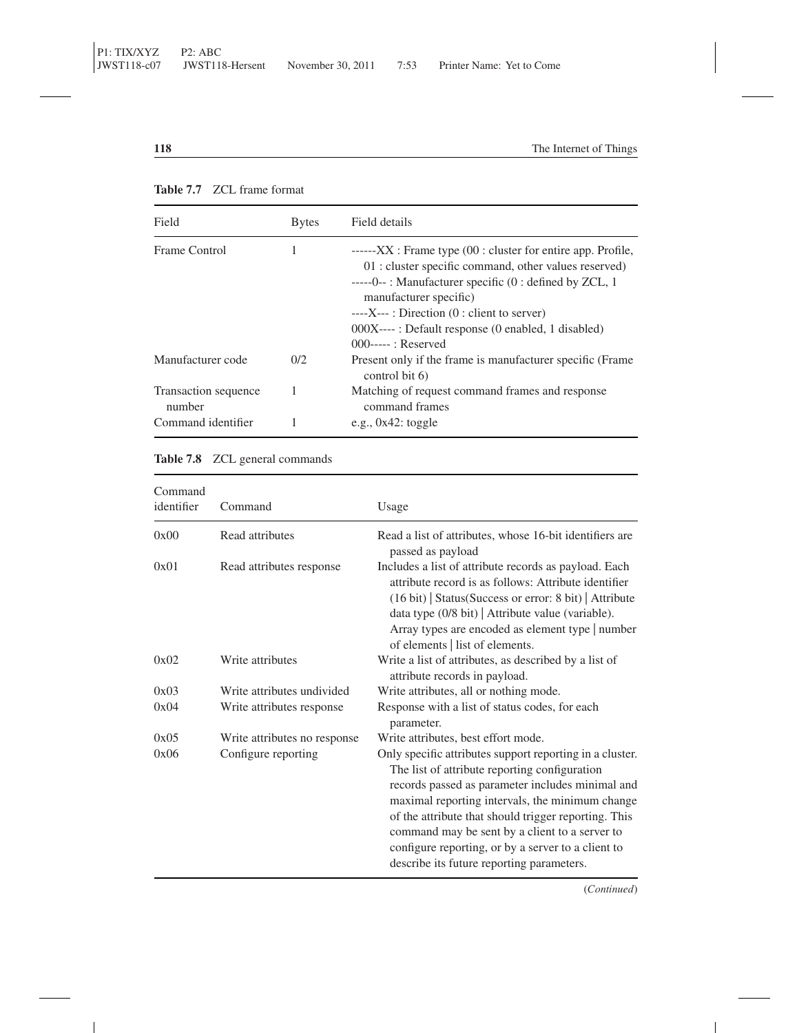| Field                          | <b>Bytes</b> | Field details                                                                                                                                                                                                                                                                                                                             |
|--------------------------------|--------------|-------------------------------------------------------------------------------------------------------------------------------------------------------------------------------------------------------------------------------------------------------------------------------------------------------------------------------------------|
| Frame Control                  |              | $---XX$ : Frame type (00 : cluster for entire app. Profile,<br>01 : cluster specific command, other values reserved)<br>$---0-$ : Manufacturer specific (0 : defined by ZCL, 1<br>manufacturer specific)<br>$---X---$ : Direction $(0:$ client to server)<br>000X---- : Default response (0 enabled, 1 disabled)<br>$000$ -----: Reserved |
| Manufacturer code              | 0/2          | Present only if the frame is manufacturer specific (Frame)<br>control bit 6)                                                                                                                                                                                                                                                              |
| Transaction sequence<br>number |              | Matching of request command frames and response<br>command frames                                                                                                                                                                                                                                                                         |
| Command identifier             |              | e.g., $0x42$ : toggle                                                                                                                                                                                                                                                                                                                     |

# **Table 7.7** ZCL frame format

# **Table 7.8** ZCL general commands

Command

| Command<br>identifier | Command                      | Usage                                                                                                                                                                                                                                                                                                                                                                                                                         |
|-----------------------|------------------------------|-------------------------------------------------------------------------------------------------------------------------------------------------------------------------------------------------------------------------------------------------------------------------------------------------------------------------------------------------------------------------------------------------------------------------------|
| 0x00                  | Read attributes              | Read a list of attributes, whose 16-bit identifiers are<br>passed as payload                                                                                                                                                                                                                                                                                                                                                  |
| 0x01                  | Read attributes response     | Includes a list of attribute records as payload. Each<br>attribute record is as follows: Attribute identifier<br>$(16 \text{ bit})$ Status(Success or error: 8 bit) Attribute<br>data type (0/8 bit)   Attribute value (variable).<br>Array types are encoded as element type   number<br>of elements   list of elements.                                                                                                     |
| 0x02                  | Write attributes             | Write a list of attributes, as described by a list of<br>attribute records in payload.                                                                                                                                                                                                                                                                                                                                        |
| 0x03                  | Write attributes undivided   | Write attributes, all or nothing mode.                                                                                                                                                                                                                                                                                                                                                                                        |
| 0x04                  | Write attributes response    | Response with a list of status codes, for each<br>parameter.                                                                                                                                                                                                                                                                                                                                                                  |
| 0x05                  | Write attributes no response | Write attributes, best effort mode.                                                                                                                                                                                                                                                                                                                                                                                           |
| 0x06                  | Configure reporting          | Only specific attributes support reporting in a cluster.<br>The list of attribute reporting configuration<br>records passed as parameter includes minimal and<br>maximal reporting intervals, the minimum change<br>of the attribute that should trigger reporting. This<br>command may be sent by a client to a server to<br>configure reporting, or by a server to a client to<br>describe its future reporting parameters. |

(*Continued*)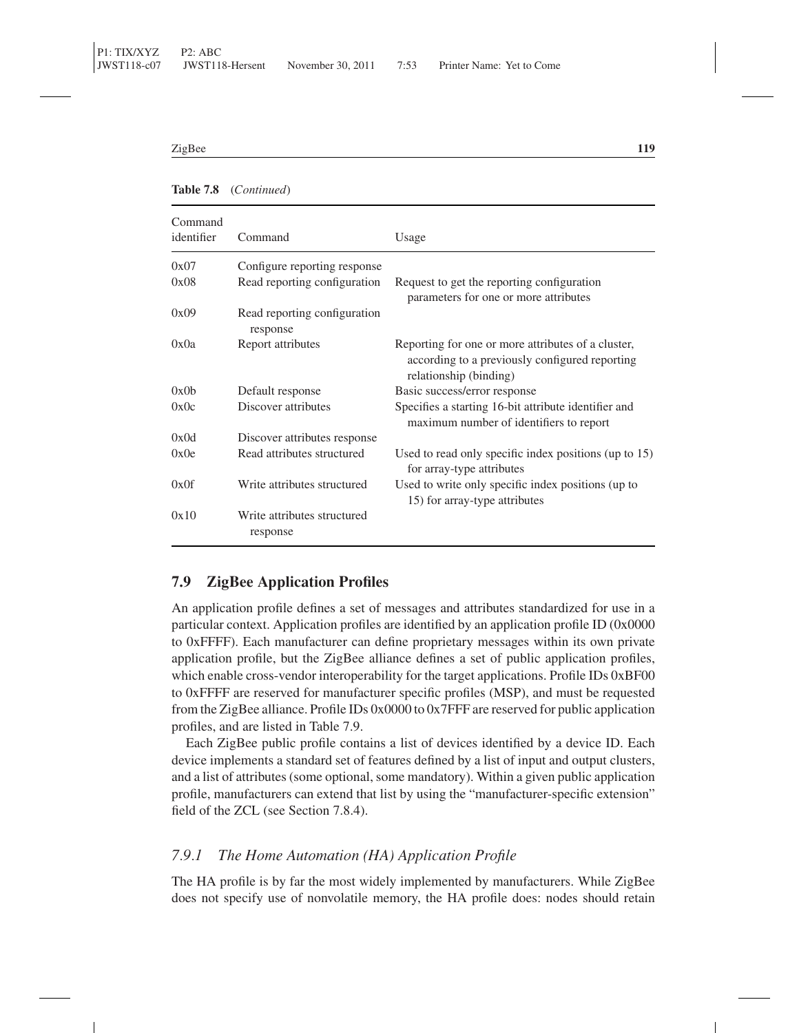| Command<br>identifier | Command                                  | Usage                                                                                                                          |
|-----------------------|------------------------------------------|--------------------------------------------------------------------------------------------------------------------------------|
| 0x07                  | Configure reporting response             |                                                                                                                                |
| 0x08                  | Read reporting configuration             | Request to get the reporting configuration<br>parameters for one or more attributes                                            |
| 0x09                  | Read reporting configuration<br>response |                                                                                                                                |
| 0x0a                  | Report attributes                        | Reporting for one or more attributes of a cluster,<br>according to a previously configured reporting<br>relationship (binding) |
| 0x0b                  | Default response                         | Basic success/error response                                                                                                   |
| 0x0c                  | Discover attributes                      | Specifies a starting 16-bit attribute identifier and<br>maximum number of identifiers to report                                |
| 0x0d                  | Discover attributes response             |                                                                                                                                |
| 0x0e                  | Read attributes structured               | Used to read only specific index positions (up to 15)<br>for array-type attributes                                             |
| 0x0f                  | Write attributes structured              | Used to write only specific index positions (up to<br>15) for array-type attributes                                            |
| 0x10                  | Write attributes structured<br>response  |                                                                                                                                |

# **7.9 ZigBee Application Profiles**

An application profile defines a set of messages and attributes standardized for use in a particular context. Application profiles are identified by an application profile ID (0x0000 to 0xFFFF). Each manufacturer can define proprietary messages within its own private application profile, but the ZigBee alliance defines a set of public application profiles, which enable cross-vendor interoperability for the target applications. Profile IDs 0xBF00 to 0xFFFF are reserved for manufacturer specific profiles (MSP), and must be requested from the ZigBee alliance. Profile IDs 0x0000 to 0x7FFF are reserved for public application profiles, and are listed in Table 7.9.

Each ZigBee public profile contains a list of devices identified by a device ID. Each device implements a standard set of features defined by a list of input and output clusters, and a list of attributes (some optional, some mandatory). Within a given public application profile, manufacturers can extend that list by using the "manufacturer-specific extension" field of the ZCL (see Section 7.8.4).

#### *7.9.1 The Home Automation (HA) Application Profile*

The HA profile is by far the most widely implemented by manufacturers. While ZigBee does not specify use of nonvolatile memory, the HA profile does: nodes should retain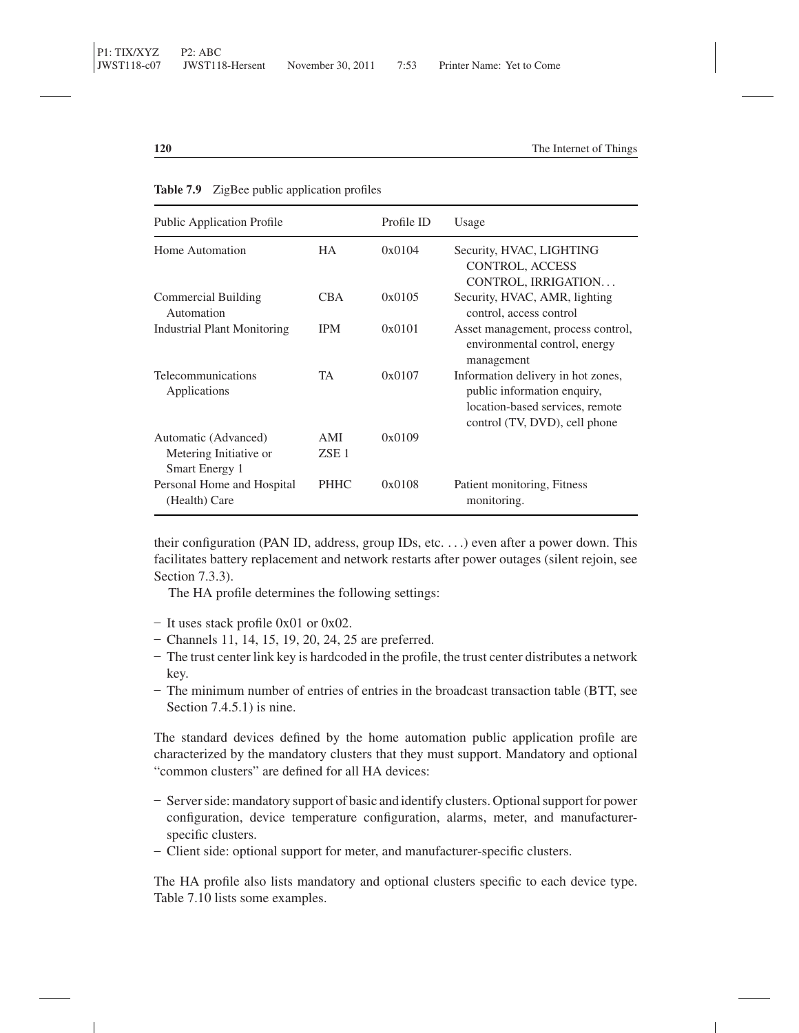| <b>Public Application Profile</b>                                       |                         | Profile ID | Usage                                                                                                                                 |
|-------------------------------------------------------------------------|-------------------------|------------|---------------------------------------------------------------------------------------------------------------------------------------|
| Home Automation                                                         | <b>HA</b>               | 0x0104     | Security, HVAC, LIGHTING<br>CONTROL, ACCESS<br>CONTROL, IRRIGATION                                                                    |
| Commercial Building<br>Automation                                       | <b>CBA</b>              | 0x0105     | Security, HVAC, AMR, lighting<br>control, access control                                                                              |
| <b>Industrial Plant Monitoring</b>                                      | <b>IPM</b>              | 0x0101     | Asset management, process control,<br>environmental control, energy<br>management                                                     |
| Telecommunications<br>Applications                                      | TA                      | 0x0107     | Information delivery in hot zones,<br>public information enquiry,<br>location-based services, remote<br>control (TV, DVD), cell phone |
| Automatic (Advanced)<br>Metering Initiative or<br><b>Smart Energy 1</b> | AMI<br>ZSE <sub>1</sub> | 0x0109     |                                                                                                                                       |
| Personal Home and Hospital<br>(Health) Care                             | <b>PHHC</b>             | 0x0108     | Patient monitoring, Fitness<br>monitoring.                                                                                            |

#### **Table 7.9** ZigBee public application profiles

their configuration (PAN ID, address, group IDs, etc. ...) even after a power down. This facilitates battery replacement and network restarts after power outages (silent rejoin, see Section 7.3.3).

The HA profile determines the following settings:

- It uses stack profile 0x01 or 0x02.
- Channels 11, 14, 15, 19, 20, 24, 25 are preferred.
- The trust center link key is hardcoded in the profile, the trust center distributes a network key.
- The minimum number of entries of entries in the broadcast transaction table (BTT, see Section 7.4.5.1) is nine.

The standard devices defined by the home automation public application profile are characterized by the mandatory clusters that they must support. Mandatory and optional "common clusters" are defined for all HA devices:

- Server side: mandatory support of basic and identify clusters. Optional support for power configuration, device temperature configuration, alarms, meter, and manufacturerspecific clusters.
- Client side: optional support for meter, and manufacturer-specific clusters.

The HA profile also lists mandatory and optional clusters specific to each device type. Table 7.10 lists some examples.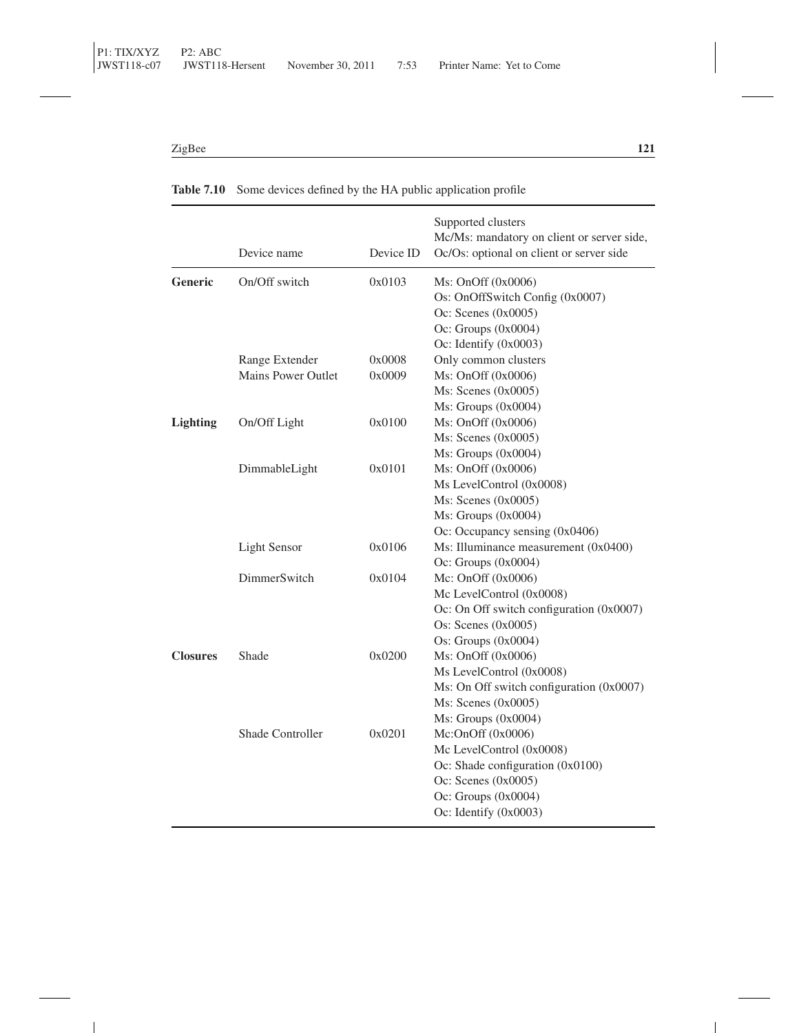|                 | Device name                          | Device ID        | Supported clusters<br>Mc/Ms: mandatory on client or server side,<br>Oc/Os: optional on client or server side                                                     |
|-----------------|--------------------------------------|------------------|------------------------------------------------------------------------------------------------------------------------------------------------------------------|
| <b>Generic</b>  | On/Off switch                        | 0x0103           | Ms: OnOff (0x0006)<br>Os: OnOffSwitch Config (0x0007)<br>Oc: Scenes (0x0005)<br>Oc: Groups $(0x0004)$<br>Oc: Identify $(0x0003)$                                 |
|                 | Range Extender<br>Mains Power Outlet | 0x0008<br>0x0009 | Only common clusters<br>Ms: OnOff (0x0006)<br>Ms: Seenes (0x0005)<br>Ms: Groups (0x0004)                                                                         |
| <b>Lighting</b> | On/Off Light                         | 0x0100           | Ms: OnOff (0x0006)<br>$Ms:$ Scenes $(0x0005)$<br>Ms: Groups (0x0004)                                                                                             |
|                 | DimmableLight                        | 0x0101           | Ms: OnOff (0x0006)<br>Ms LevelControl (0x0008)<br>Ms: Seenes (0x0005)<br>Ms: Groups (0x0004)<br>Oc: Occupancy sensing (0x0406)                                   |
|                 | Light Sensor                         | 0x0106           | Ms: Illuminance measurement (0x0400)<br>Oc: Groups $(0x0004)$                                                                                                    |
|                 | <b>DimmerSwitch</b>                  | 0x0104           | Mc: OnOff (0x0006)<br>Mc LevelControl (0x0008)<br>Oc: On Off switch configuration $(0x0007)$<br>Os: Scenes $(0x0005)$                                            |
| <b>Closures</b> | Shade                                | 0x0200           | Os: Groups (0x0004)<br>Ms: OnOff (0x0006)<br>Ms LevelControl (0x0008)<br>Ms: On Off switch configuration (0x0007)<br>Ms: Seenes (0x0005)<br>Ms: Groups (0x0004)  |
|                 | <b>Shade Controller</b>              | 0x0201           | Mc:OnOff (0x0006)<br>Mc LevelControl (0x0008)<br>Oc: Shade configuration $(0x0100)$<br>Oc: Scenes $(0x0005)$<br>Oc: Groups $(0x0004)$<br>Oc: Identify $(0x0003)$ |

# Table 7.10 Some devices defined by the HA public application profile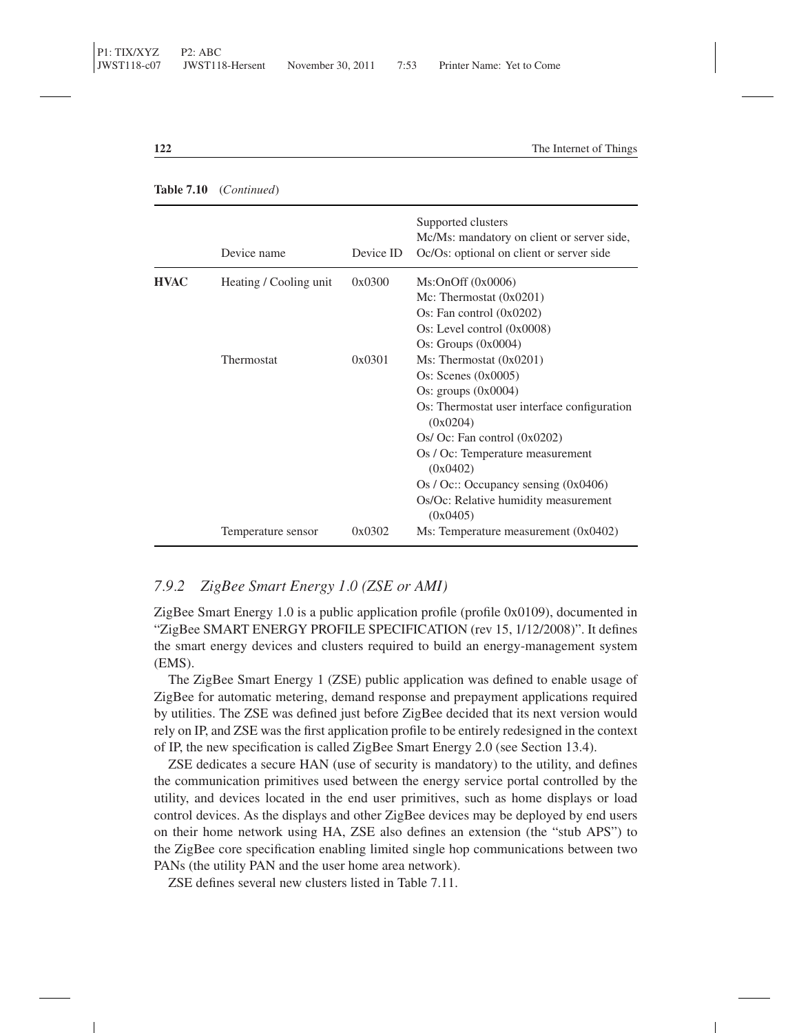|             | Device name            | Device ID | Supported clusters<br>Mc/Ms: mandatory on client or server side,<br>Oc/Os: optional on client or server side |
|-------------|------------------------|-----------|--------------------------------------------------------------------------------------------------------------|
| <b>HVAC</b> | Heating / Cooling unit | 0x0300    | Ms:OnOff (0x0006)                                                                                            |
|             |                        |           | Mc: Thermostat $(0x0201)$                                                                                    |
|             |                        |           | Os: Fan control $(0x0202)$                                                                                   |
|             |                        |           | Os: Level control $(0x0008)$                                                                                 |
|             |                        |           | Os: Groups $(0x0004)$                                                                                        |
|             | Thermostat             | 0x0301    | Ms: Thermostat $(0x0201)$                                                                                    |
|             |                        |           | Os: Scenes $(0x0005)$                                                                                        |
|             |                        |           | Os: groups $(0x0004)$                                                                                        |
|             |                        |           | Os: Thermostat user interface configuration<br>(0x0204)                                                      |
|             |                        |           | $Os/Oc$ : Fan control $(0x0202)$                                                                             |
|             |                        |           | Os / Oc: Temperature measurement<br>(0x0402)                                                                 |
|             |                        |           | Os / Oc:: Occupancy sensing $(0x0406)$                                                                       |
|             |                        |           | Os/Oc: Relative humidity measurement<br>(0x0405)                                                             |
|             | Temperature sensor     | 0x0302    | Ms: Temperature measurement $(0x0402)$                                                                       |

#### **Table 7.10** (*Continued*)

#### *7.9.2 ZigBee Smart Energy 1.0 (ZSE or AMI)*

ZigBee Smart Energy 1.0 is a public application profile (profile 0x0109), documented in "ZigBee SMART ENERGY PROFILE SPECIFICATION (rev 15, 1/12/2008)". It defines the smart energy devices and clusters required to build an energy-management system (EMS).

The ZigBee Smart Energy 1 (ZSE) public application was defined to enable usage of ZigBee for automatic metering, demand response and prepayment applications required by utilities. The ZSE was defined just before ZigBee decided that its next version would rely on IP, and ZSE was the first application profile to be entirely redesigned in the context of IP, the new specification is called ZigBee Smart Energy 2.0 (see Section 13.4).

ZSE dedicates a secure HAN (use of security is mandatory) to the utility, and defines the communication primitives used between the energy service portal controlled by the utility, and devices located in the end user primitives, such as home displays or load control devices. As the displays and other ZigBee devices may be deployed by end users on their home network using HA, ZSE also defines an extension (the "stub APS") to the ZigBee core specification enabling limited single hop communications between two PANs (the utility PAN and the user home area network).

ZSE defines several new clusters listed in Table 7.11.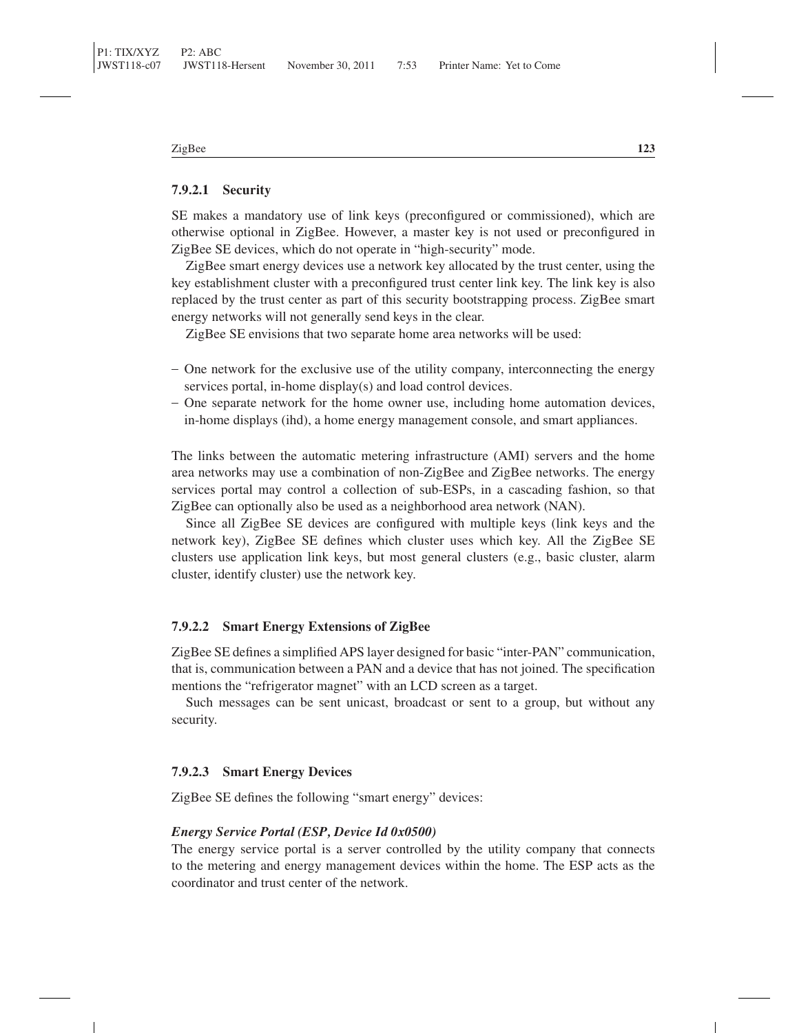#### **7.9.2.1 Security**

SE makes a mandatory use of link keys (preconfigured or commissioned), which are otherwise optional in ZigBee. However, a master key is not used or preconfigured in ZigBee SE devices, which do not operate in "high-security" mode.

ZigBee smart energy devices use a network key allocated by the trust center, using the key establishment cluster with a preconfigured trust center link key. The link key is also replaced by the trust center as part of this security bootstrapping process. ZigBee smart energy networks will not generally send keys in the clear.

ZigBee SE envisions that two separate home area networks will be used:

- One network for the exclusive use of the utility company, interconnecting the energy services portal, in-home display(s) and load control devices.
- One separate network for the home owner use, including home automation devices, in-home displays (ihd), a home energy management console, and smart appliances.

The links between the automatic metering infrastructure (AMI) servers and the home area networks may use a combination of non-ZigBee and ZigBee networks. The energy services portal may control a collection of sub-ESPs, in a cascading fashion, so that ZigBee can optionally also be used as a neighborhood area network (NAN).

Since all ZigBee SE devices are configured with multiple keys (link keys and the network key), ZigBee SE defines which cluster uses which key. All the ZigBee SE clusters use application link keys, but most general clusters (e.g., basic cluster, alarm cluster, identify cluster) use the network key.

#### **7.9.2.2 Smart Energy Extensions of ZigBee**

ZigBee SE defines a simplified APS layer designed for basic "inter-PAN" communication, that is, communication between a PAN and a device that has not joined. The specification mentions the "refrigerator magnet" with an LCD screen as a target.

Such messages can be sent unicast, broadcast or sent to a group, but without any security.

#### **7.9.2.3 Smart Energy Devices**

ZigBee SE defines the following "smart energy" devices:

#### *Energy Service Portal (ESP, Device Id 0x0500)*

The energy service portal is a server controlled by the utility company that connects to the metering and energy management devices within the home. The ESP acts as the coordinator and trust center of the network.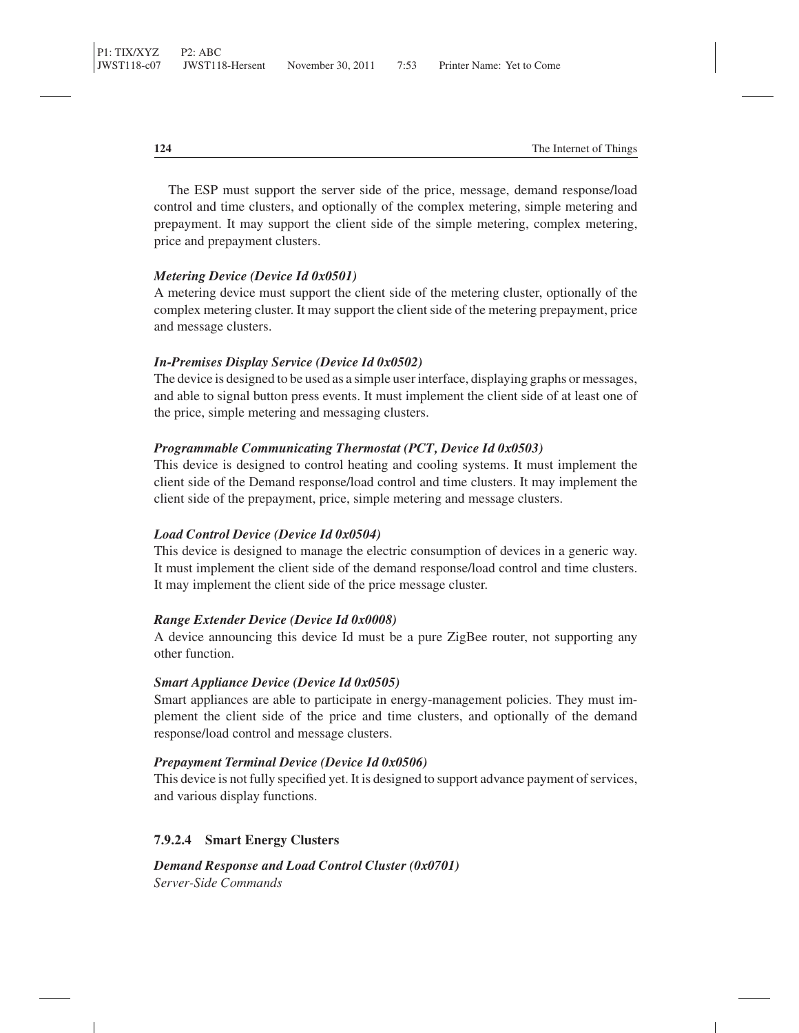The ESP must support the server side of the price, message, demand response/load control and time clusters, and optionally of the complex metering, simple metering and prepayment. It may support the client side of the simple metering, complex metering, price and prepayment clusters.

#### *Metering Device (Device Id 0x0501)*

A metering device must support the client side of the metering cluster, optionally of the complex metering cluster. It may support the client side of the metering prepayment, price and message clusters.

#### *In-Premises Display Service (Device Id 0x0502)*

The device is designed to be used as a simple user interface, displaying graphs or messages, and able to signal button press events. It must implement the client side of at least one of the price, simple metering and messaging clusters.

#### *Programmable Communicating Thermostat (PCT, Device Id 0x0503)*

This device is designed to control heating and cooling systems. It must implement the client side of the Demand response/load control and time clusters. It may implement the client side of the prepayment, price, simple metering and message clusters.

#### *Load Control Device (Device Id 0x0504)*

This device is designed to manage the electric consumption of devices in a generic way. It must implement the client side of the demand response/load control and time clusters. It may implement the client side of the price message cluster.

#### *Range Extender Device (Device Id 0x0008)*

A device announcing this device Id must be a pure ZigBee router, not supporting any other function.

#### *Smart Appliance Device (Device Id 0x0505)*

Smart appliances are able to participate in energy-management policies. They must implement the client side of the price and time clusters, and optionally of the demand response/load control and message clusters.

#### *Prepayment Terminal Device (Device Id 0x0506)*

This device is not fully specified yet. It is designed to support advance payment of services, and various display functions.

#### **7.9.2.4 Smart Energy Clusters**

*Demand Response and Load Control Cluster (0x0701) Server-Side Commands*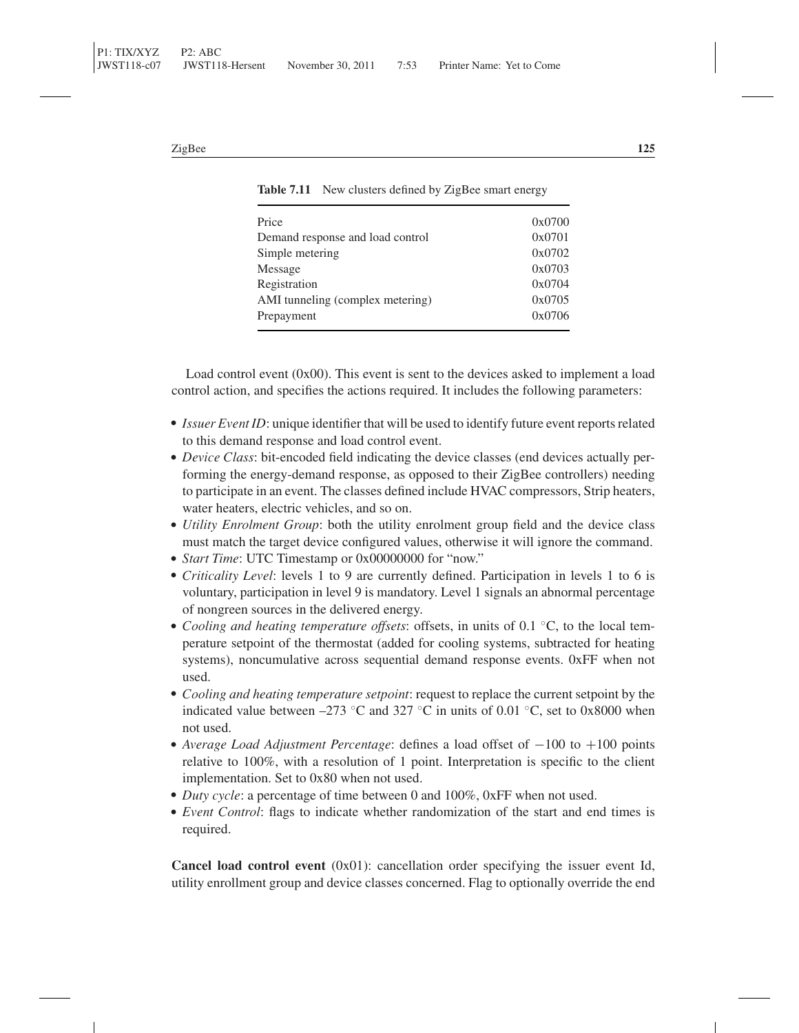| Price                            | 0x0700 |
|----------------------------------|--------|
| Demand response and load control | 0x0701 |
| Simple metering                  | 0x0702 |
| Message                          | 0x0703 |
| Registration                     | 0x0704 |
| AMI tunneling (complex metering) | 0x0705 |
| Prepayment                       | 0x0706 |
|                                  |        |

**Table 7.11** New clusters defined by ZigBee smart energy

Load control event (0x00). This event is sent to the devices asked to implement a load control action, and specifies the actions required. It includes the following parameters:

- *Issuer Event ID*: unique identifier that will be used to identify future event reports related to this demand response and load control event.
- *Device Class*: bit-encoded field indicating the device classes (end devices actually performing the energy-demand response, as opposed to their ZigBee controllers) needing to participate in an event. The classes defined include HVAC compressors, Strip heaters, water heaters, electric vehicles, and so on.
- *Utility Enrolment Group*: both the utility enrolment group field and the device class must match the target device configured values, otherwise it will ignore the command.
- *Start Time*: UTC Timestamp or 0x00000000 for "now."
- *Criticality Level*: levels 1 to 9 are currently defined. Participation in levels 1 to 6 is voluntary, participation in level 9 is mandatory. Level 1 signals an abnormal percentage of nongreen sources in the delivered energy.
- *Cooling and heating temperature offsets*: offsets, in units of 0.1 ◦C, to the local temperature setpoint of the thermostat (added for cooling systems, subtracted for heating systems), noncumulative across sequential demand response events. 0xFF when not used.
- *Cooling and heating temperature setpoint*: request to replace the current setpoint by the indicated value between –273 °C and 327 °C in units of 0.01 °C, set to 0x8000 when not used.
- *Average Load Adjustment Percentage*: defines a load offset of −100 to +100 points relative to 100%, with a resolution of 1 point. Interpretation is specific to the client implementation. Set to 0x80 when not used.
- *Duty cycle*: a percentage of time between 0 and 100%, 0xFF when not used.
- *Event Control*: flags to indicate whether randomization of the start and end times is required.

**Cancel load control event** (0x01): cancellation order specifying the issuer event Id, utility enrollment group and device classes concerned. Flag to optionally override the end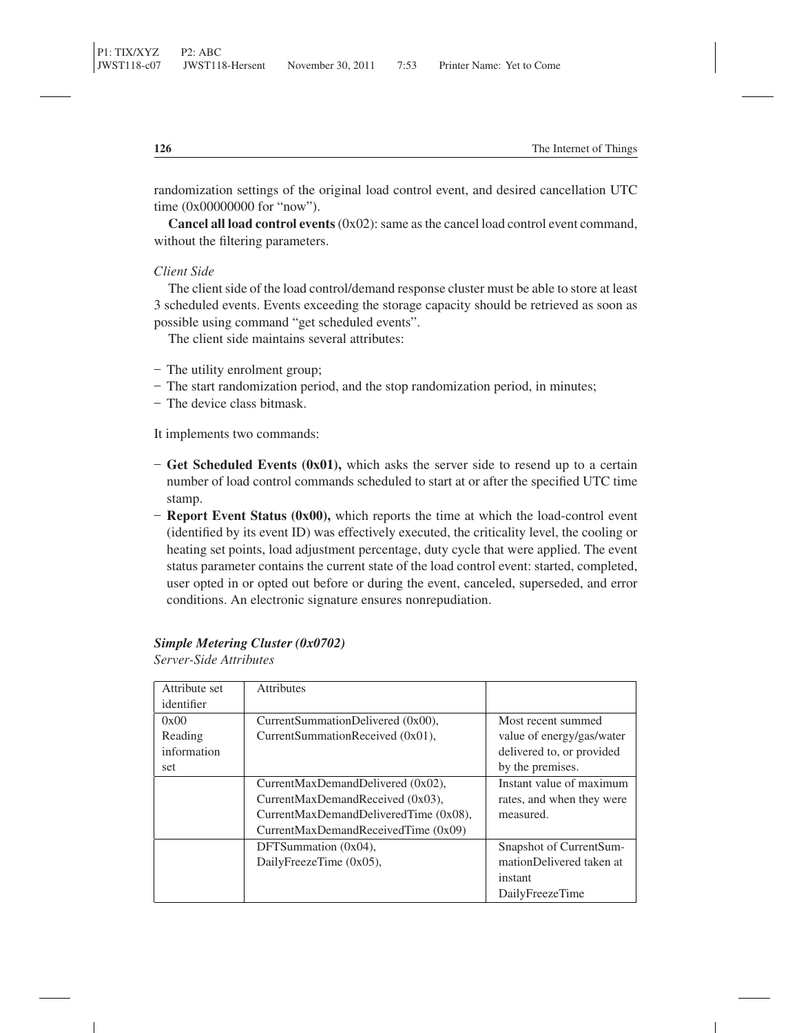randomization settings of the original load control event, and desired cancellation UTC time (0x00000000 for "now").

**Cancel all load control events**(0x02): same as the cancel load control event command, without the filtering parameters.

# *Client Side*

The client side of the load control/demand response cluster must be able to store at least 3 scheduled events. Events exceeding the storage capacity should be retrieved as soon as possible using command "get scheduled events".

The client side maintains several attributes:

- The utility enrolment group;
- The start randomization period, and the stop randomization period, in minutes;
- The device class bitmask.

It implements two commands:

- **Get Scheduled Events (0x01),** which asks the server side to resend up to a certain number of load control commands scheduled to start at or after the specified UTC time stamp.
- **Report Event Status (0x00),** which reports the time at which the load-control event (identified by its event ID) was effectively executed, the criticality level, the cooling or heating set points, load adjustment percentage, duty cycle that were applied. The event status parameter contains the current state of the load control event: started, completed, user opted in or opted out before or during the event, canceled, superseded, and error conditions. An electronic signature ensures nonrepudiation.

| Attribute set | <b>Attributes</b>                     |                           |
|---------------|---------------------------------------|---------------------------|
| identifier    |                                       |                           |
| 0x00          | CurrentSummationDelivered (0x00),     | Most recent summed        |
| Reading       | CurrentSummationReceived (0x01),      | value of energy/gas/water |
| information   |                                       | delivered to, or provided |
| set           |                                       | by the premises.          |
|               | CurrentMaxDemandDelivered (0x02),     | Instant value of maximum  |
|               | CurrentMaxDemandReceived (0x03),      | rates, and when they were |
|               | CurrentMaxDemandDeliveredTime (0x08), | measured.                 |
|               | CurrentMaxDemandReceivedTime (0x09)   |                           |
|               | DFTSummation $(0x04)$ ,               | Snapshot of CurrentSum-   |
|               | DailyFreezeTime (0x05),               | mationDelivered taken at  |
|               |                                       | instant                   |
|               |                                       | DailyFreezeTime           |

# *Simple Metering Cluster (0x0702)*

*Server-Side Attributes*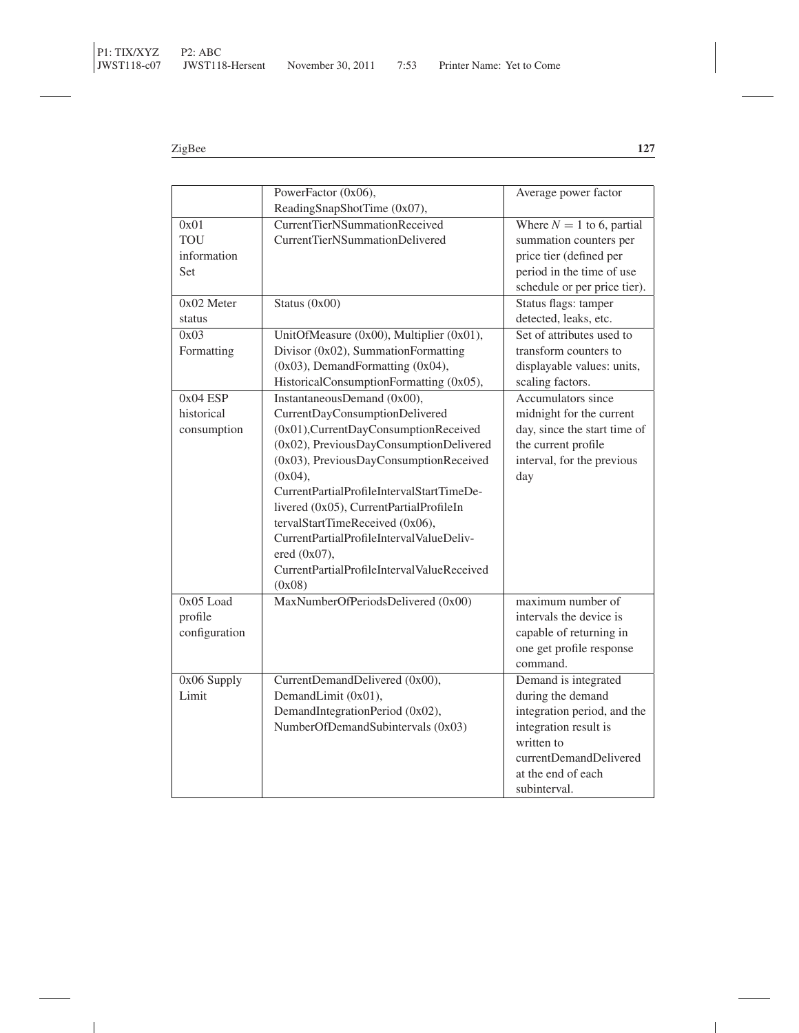|               | PowerFactor (0x06),                        | Average power factor         |
|---------------|--------------------------------------------|------------------------------|
|               | ReadingSnapShotTime (0x07),                |                              |
| 0x01          | <b>CurrentTierNSummationReceived</b>       | Where $N = 1$ to 6, partial  |
| <b>TOU</b>    | <b>CurrentTierNSummationDelivered</b>      | summation counters per       |
| information   |                                            | price tier (defined per      |
| <b>Set</b>    |                                            | period in the time of use    |
|               |                                            | schedule or per price tier). |
| $0x02$ Meter  | Status $(0x00)$                            | Status flags: tamper         |
| status        |                                            | detected, leaks, etc.        |
| 0x03          | UnitOfMeasure (0x00), Multiplier (0x01),   | Set of attributes used to    |
| Formatting    | Divisor (0x02), SummationFormatting        | transform counters to        |
|               | $(0x03)$ , DemandFormatting $(0x04)$ ,     | displayable values: units,   |
|               | HistoricalConsumptionFormatting (0x05),    | scaling factors.             |
| $0x04$ ESP    | InstantaneousDemand (0x00),                | Accumulators since           |
| historical    | CurrentDayConsumptionDelivered             | midnight for the current     |
| consumption   | (0x01), Current Day Consumption Received   | day, since the start time of |
|               | (0x02), PreviousDayConsumptionDelivered    | the current profile          |
|               | (0x03), PreviousDayConsumptionReceived     | interval, for the previous   |
|               | (0x04),                                    | day                          |
|               | CurrentPartialProfileIntervalStartTimeDe-  |                              |
|               | livered (0x05), CurrentPartialProfileIn    |                              |
|               | tervalStartTimeReceived (0x06),            |                              |
|               | CurrentPartialProfileIntervalValueDeliv-   |                              |
|               | ered $(0x07)$ ,                            |                              |
|               | CurrentPartialProfileIntervalValueReceived |                              |
|               | (0x08)                                     |                              |
| 0x05 Load     | MaxNumberOfPeriodsDelivered (0x00)         | maximum number of            |
| profile       |                                            | intervals the device is      |
| configuration |                                            | capable of returning in      |
|               |                                            | one get profile response     |
|               |                                            | command.                     |
| 0x06 Supply   | CurrentDemandDelivered (0x00),             | Demand is integrated         |
| Limit         | DemandLimit (0x01),                        | during the demand            |
|               | DemandIntegrationPeriod (0x02),            | integration period, and the  |
|               | NumberOfDemandSubintervals (0x03)          | integration result is        |
|               |                                            | written to                   |
|               |                                            | currentDemandDelivered       |
|               |                                            | at the end of each           |
|               |                                            | subinterval.                 |
|               |                                            |                              |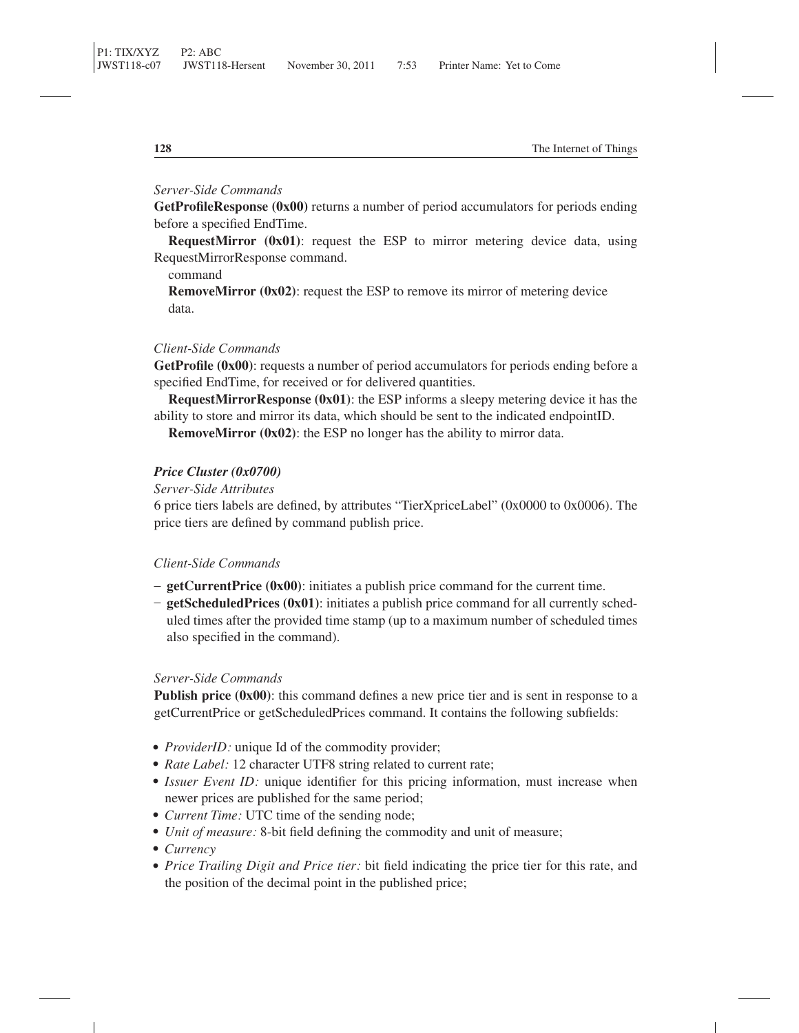#### *Server-Side Commands*

**GetProfileResponse (0x00)** returns a number of period accumulators for periods ending before a specified EndTime.

**RequestMirror (0x01)**: request the ESP to mirror metering device data, using RequestMirrorResponse command.

#### command

**RemoveMirror (0x02)**: request the ESP to remove its mirror of metering device data.

# *Client-Side Commands*

**GetProfile (0x00)**: requests a number of period accumulators for periods ending before a specified EndTime, for received or for delivered quantities.

**RequestMirrorResponse (0x01)**: the ESP informs a sleepy metering device it has the ability to store and mirror its data, which should be sent to the indicated endpointID.

**RemoveMirror (0x02)**: the ESP no longer has the ability to mirror data.

# *Price Cluster (0x0700)*

#### *Server-Side Attributes*

6 price tiers labels are defined, by attributes "TierXpriceLabel" (0x0000 to 0x0006). The price tiers are defined by command publish price.

# *Client-Side Commands*

- **getCurrentPrice (0x00)**: initiates a publish price command for the current time.
- **getScheduledPrices (0x01)**: initiates a publish price command for all currently scheduled times after the provided time stamp (up to a maximum number of scheduled times also specified in the command).

# *Server-Side Commands*

**Publish price (0x00)**: this command defines a new price tier and is sent in response to a getCurrentPrice or getScheduledPrices command. It contains the following subfields:

- ProviderID: unique Id of the commodity provider;
- Rate Label: 12 character UTF8 string related to current rate;
- *Issuer Event ID:* unique identifier for this pricing information, must increase when newer prices are published for the same period;
- *Current Time:* UTC time of the sending node;
- *Unit of measure:* 8-bit field defining the commodity and unit of measure;
- *Currency*
- *Price Trailing Digit and Price tier:* bit field indicating the price tier for this rate, and the position of the decimal point in the published price;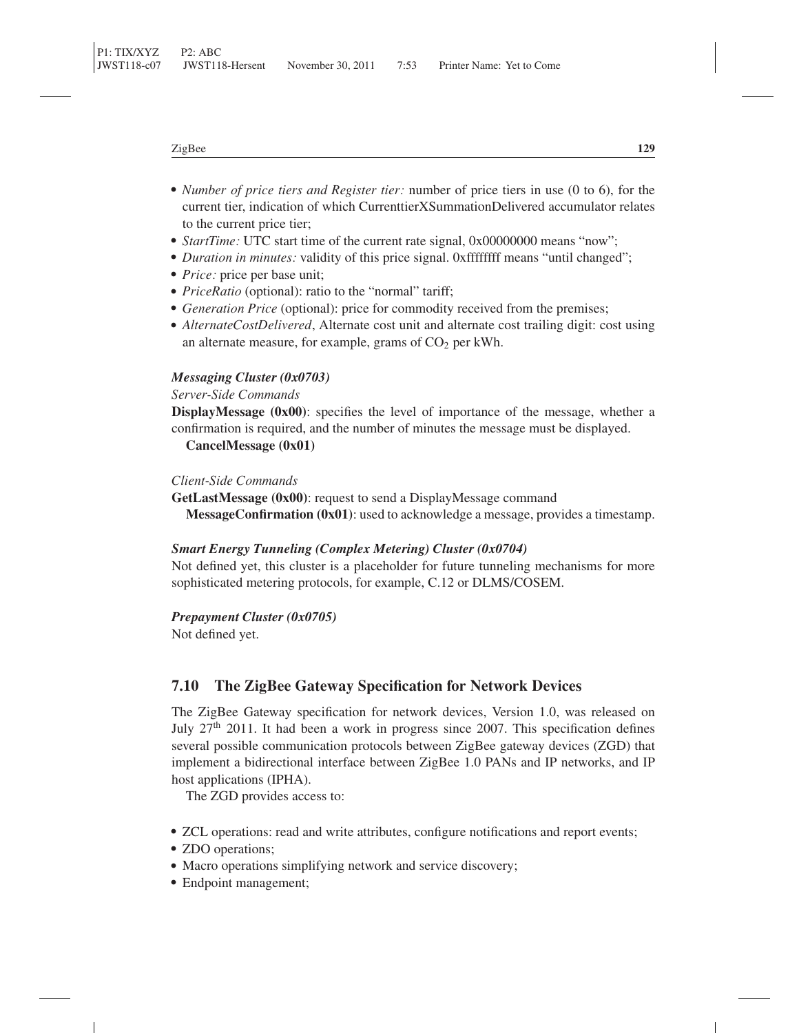- *Number of price tiers and Register tier:* number of price tiers in use (0 to 6), for the current tier, indication of which CurrenttierXSummationDelivered accumulator relates to the current price tier;
- *StartTime:* UTC start time of the current rate signal, 0x00000000 means "now";
- *Duration in minutes:* validity of this price signal. 0xffffffff means "until changed";
- *Price:* price per base unit;
- *PriceRatio* (optional): ratio to the "normal" tariff;
- Generation Price (optional): price for commodity received from the premises;
- *AlternateCostDelivered*, Alternate cost unit and alternate cost trailing digit: cost using an alternate measure, for example, grams of  $CO<sub>2</sub>$  per kWh.

# *Messaging Cluster (0x0703)*

*Server-Side Commands*

**DisplayMessage (0x00):** specifies the level of importance of the message, whether a confirmation is required, and the number of minutes the message must be displayed.

**CancelMessage (0x01)**

#### *Client-Side Commands*

**GetLastMessage (0x00)**: request to send a DisplayMessage command **MessageConfirmation (0x01)**: used to acknowledge a message, provides a timestamp.

#### *Smart Energy Tunneling (Complex Metering) Cluster (0x0704)*

Not defined yet, this cluster is a placeholder for future tunneling mechanisms for more sophisticated metering protocols, for example, C.12 or DLMS/COSEM.

#### *Prepayment Cluster (0x0705)*

Not defined yet.

# **7.10 The ZigBee Gateway Specification for Network Devices**

The ZigBee Gateway specification for network devices, Version 1.0, was released on July  $27<sup>th</sup>$  2011. It had been a work in progress since 2007. This specification defines several possible communication protocols between ZigBee gateway devices (ZGD) that implement a bidirectional interface between ZigBee 1.0 PANs and IP networks, and IP host applications (IPHA).

The ZGD provides access to:

- ZCL operations: read and write attributes, configure notifications and report events;
- ZDO operations;
- Macro operations simplifying network and service discovery;
- Endpoint management;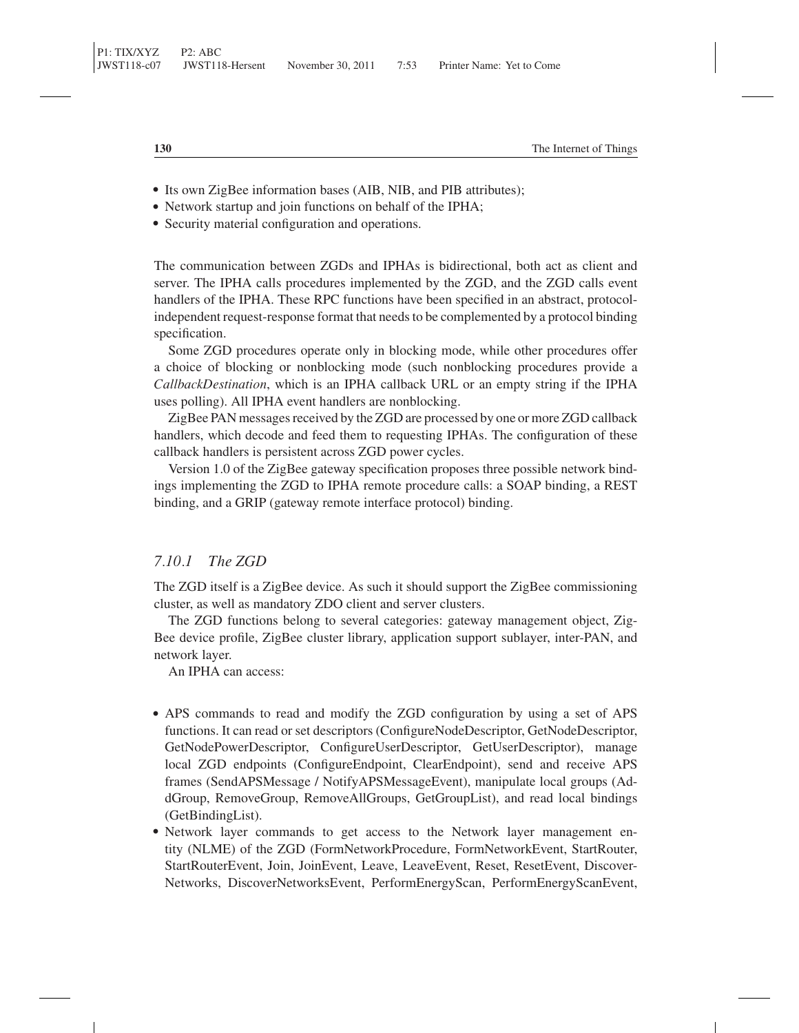- Its own ZigBee information bases (AIB, NIB, and PIB attributes);
- Network startup and join functions on behalf of the IPHA;
- Security material configuration and operations.

The communication between ZGDs and IPHAs is bidirectional, both act as client and server. The IPHA calls procedures implemented by the ZGD, and the ZGD calls event handlers of the IPHA. These RPC functions have been specified in an abstract, protocolindependent request-response format that needs to be complemented by a protocol binding specification.

Some ZGD procedures operate only in blocking mode, while other procedures offer a choice of blocking or nonblocking mode (such nonblocking procedures provide a *CallbackDestination*, which is an IPHA callback URL or an empty string if the IPHA uses polling). All IPHA event handlers are nonblocking.

ZigBee PAN messages received by the ZGD are processed by one or more ZGD callback handlers, which decode and feed them to requesting IPHAs. The configuration of these callback handlers is persistent across ZGD power cycles.

Version 1.0 of the ZigBee gateway specification proposes three possible network bindings implementing the ZGD to IPHA remote procedure calls: a SOAP binding, a REST binding, and a GRIP (gateway remote interface protocol) binding.

#### *7.10.1 The ZGD*

The ZGD itself is a ZigBee device. As such it should support the ZigBee commissioning cluster, as well as mandatory ZDO client and server clusters.

The ZGD functions belong to several categories: gateway management object, Zig-Bee device profile, ZigBee cluster library, application support sublayer, inter-PAN, and network layer.

An IPHA can access:

- APS commands to read and modify the ZGD configuration by using a set of APS functions. It can read or set descriptors (ConfigureNodeDescriptor, GetNodeDescriptor, GetNodePowerDescriptor, ConfigureUserDescriptor, GetUserDescriptor), manage local ZGD endpoints (ConfigureEndpoint, ClearEndpoint), send and receive APS frames (SendAPSMessage / NotifyAPSMessageEvent), manipulate local groups (AddGroup, RemoveGroup, RemoveAllGroups, GetGroupList), and read local bindings (GetBindingList).
- Network layer commands to get access to the Network layer management entity (NLME) of the ZGD (FormNetworkProcedure, FormNetworkEvent, StartRouter, StartRouterEvent, Join, JoinEvent, Leave, LeaveEvent, Reset, ResetEvent, Discover-Networks, DiscoverNetworksEvent, PerformEnergyScan, PerformEnergyScanEvent,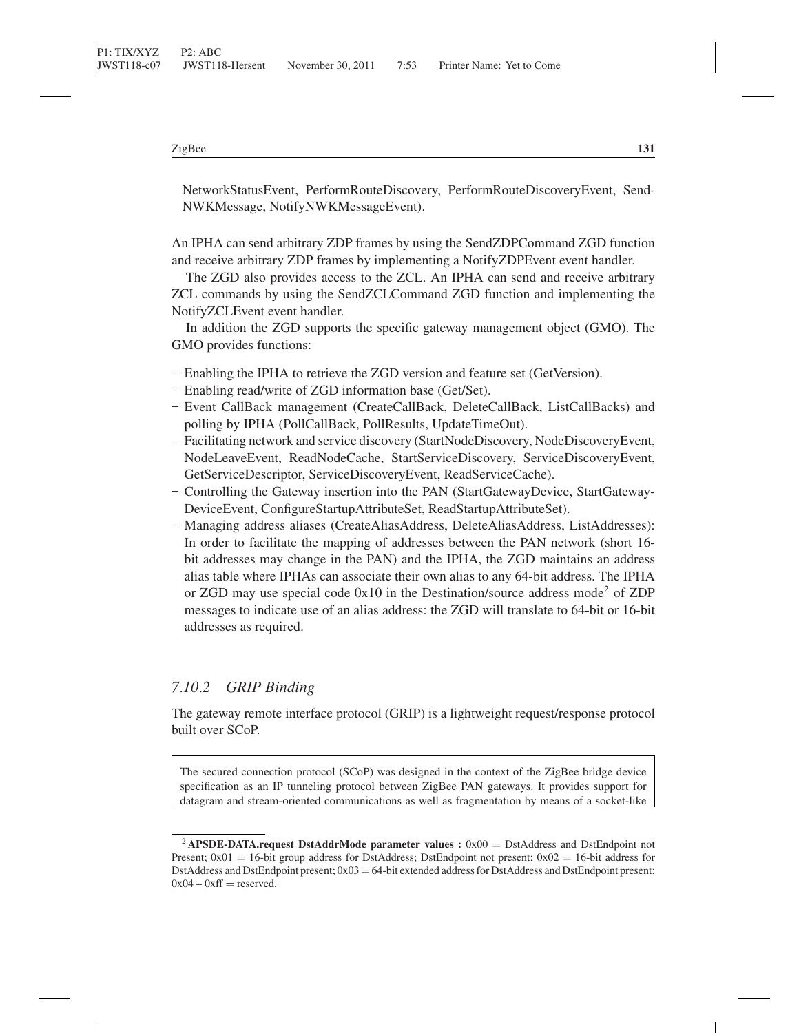NetworkStatusEvent, PerformRouteDiscovery, PerformRouteDiscoveryEvent, Send-NWKMessage, NotifyNWKMessageEvent).

An IPHA can send arbitrary ZDP frames by using the SendZDPCommand ZGD function and receive arbitrary ZDP frames by implementing a NotifyZDPEvent event handler.

The ZGD also provides access to the ZCL. An IPHA can send and receive arbitrary ZCL commands by using the SendZCLCommand ZGD function and implementing the NotifyZCLEvent event handler.

In addition the ZGD supports the specific gateway management object (GMO). The GMO provides functions:

- Enabling the IPHA to retrieve the ZGD version and feature set (GetVersion).
- Enabling read/write of ZGD information base (Get/Set).
- Event CallBack management (CreateCallBack, DeleteCallBack, ListCallBacks) and polling by IPHA (PollCallBack, PollResults, UpdateTimeOut).
- Facilitating network and service discovery (StartNodeDiscovery, NodeDiscoveryEvent, NodeLeaveEvent, ReadNodeCache, StartServiceDiscovery, ServiceDiscoveryEvent, GetServiceDescriptor, ServiceDiscoveryEvent, ReadServiceCache).
- Controlling the Gateway insertion into the PAN (StartGatewayDevice, StartGateway-DeviceEvent, ConfigureStartupAttributeSet, ReadStartupAttributeSet).
- Managing address aliases (CreateAliasAddress, DeleteAliasAddress, ListAddresses): In order to facilitate the mapping of addresses between the PAN network (short 16 bit addresses may change in the PAN) and the IPHA, the ZGD maintains an address alias table where IPHAs can associate their own alias to any 64-bit address. The IPHA or ZGD may use special code  $0x10$  in the Destination/source address mode<sup>2</sup> of ZDP messages to indicate use of an alias address: the ZGD will translate to 64-bit or 16-bit addresses as required.

# *7.10.2 GRIP Binding*

The gateway remote interface protocol (GRIP) is a lightweight request/response protocol built over SCoP.

The secured connection protocol (SCoP) was designed in the context of the ZigBee bridge device specification as an IP tunneling protocol between ZigBee PAN gateways. It provides support for datagram and stream-oriented communications as well as fragmentation by means of a socket-like

<sup>&</sup>lt;sup>2</sup> **APSDE-DATA.request DstAddrMode parameter values :** 0x00 = DstAddress and DstEndpoint not Present;  $0x01 = 16$ -bit group address for DstAddress; DstEndpoint not present;  $0x02 = 16$ -bit address for DstAddress and DstEndpoint present;  $0x03 = 64$ -bit extended address for DstAddress and DstEndpoint present;  $0x04 - 0x$  ff = reserved.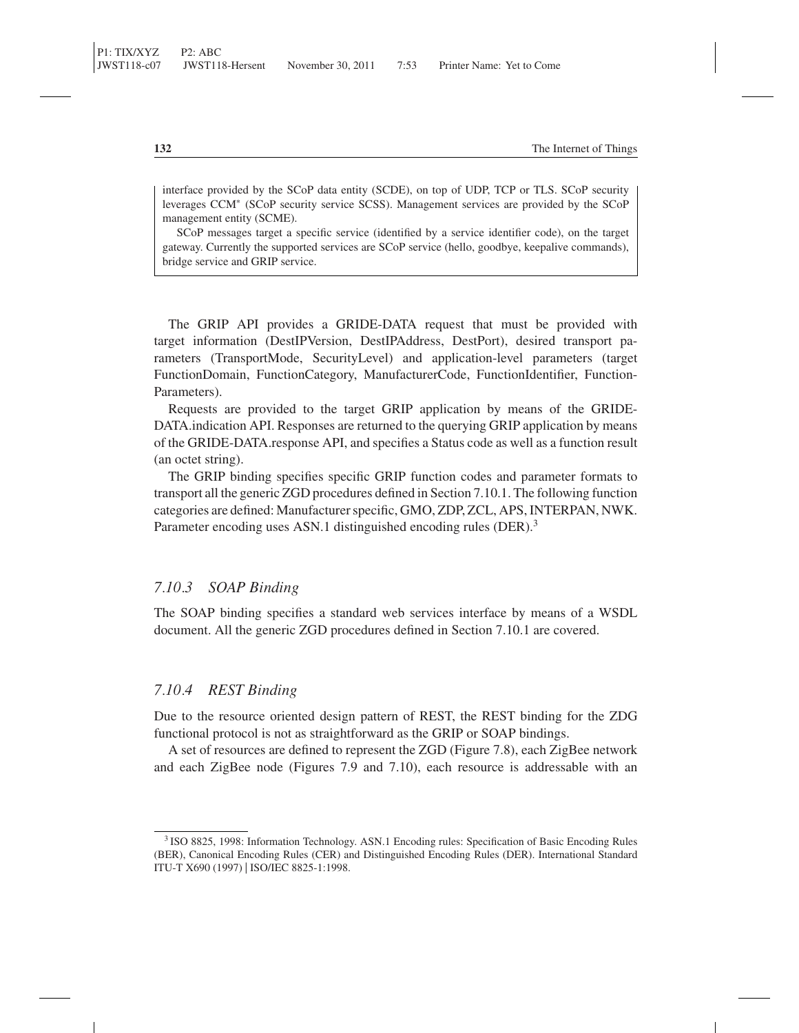interface provided by the SCoP data entity (SCDE), on top of UDP, TCP or TLS. SCoP security leverages CCM<sup>∗</sup> (SCoP security service SCSS). Management services are provided by the SCoP management entity (SCME).

SCoP messages target a specific service (identified by a service identifier code), on the target gateway. Currently the supported services are SCoP service (hello, goodbye, keepalive commands), bridge service and GRIP service.

The GRIP API provides a GRIDE-DATA request that must be provided with target information (DestIPVersion, DestIPAddress, DestPort), desired transport parameters (TransportMode, SecurityLevel) and application-level parameters (target FunctionDomain, FunctionCategory, ManufacturerCode, FunctionIdentifier, Function-Parameters).

Requests are provided to the target GRIP application by means of the GRIDE-DATA.indication API. Responses are returned to the querying GRIP application by means of the GRIDE-DATA.response API, and specifies a Status code as well as a function result (an octet string).

The GRIP binding specifies specific GRIP function codes and parameter formats to transport all the generic ZGD procedures defined in Section 7.10.1. The following function categories are defined: Manufacturer specific, GMO, ZDP, ZCL, APS, INTERPAN, NWK. Parameter encoding uses ASN.1 distinguished encoding rules (DER).<sup>3</sup>

#### *7.10.3 SOAP Binding*

The SOAP binding specifies a standard web services interface by means of a WSDL document. All the generic ZGD procedures defined in Section 7.10.1 are covered.

#### *7.10.4 REST Binding*

Due to the resource oriented design pattern of REST, the REST binding for the ZDG functional protocol is not as straightforward as the GRIP or SOAP bindings.

A set of resources are defined to represent the ZGD (Figure 7.8), each ZigBee network and each ZigBee node (Figures 7.9 and 7.10), each resource is addressable with an

<sup>3</sup> ISO 8825, 1998: Information Technology. ASN.1 Encoding rules: Specification of Basic Encoding Rules (BER), Canonical Encoding Rules (CER) and Distinguished Encoding Rules (DER). International Standard ITU-T X690 (1997) | ISO/IEC 8825-1:1998.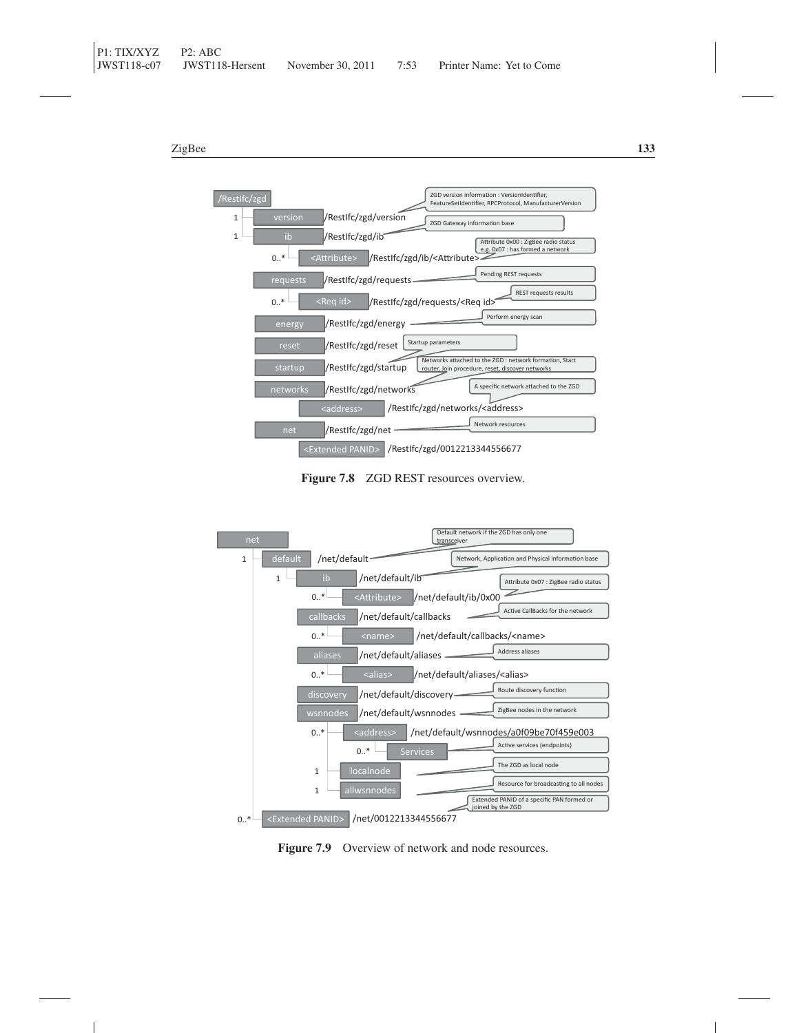

**Figure 7.8** ZGD REST resources overview.



Figure 7.9 Overview of network and node resources.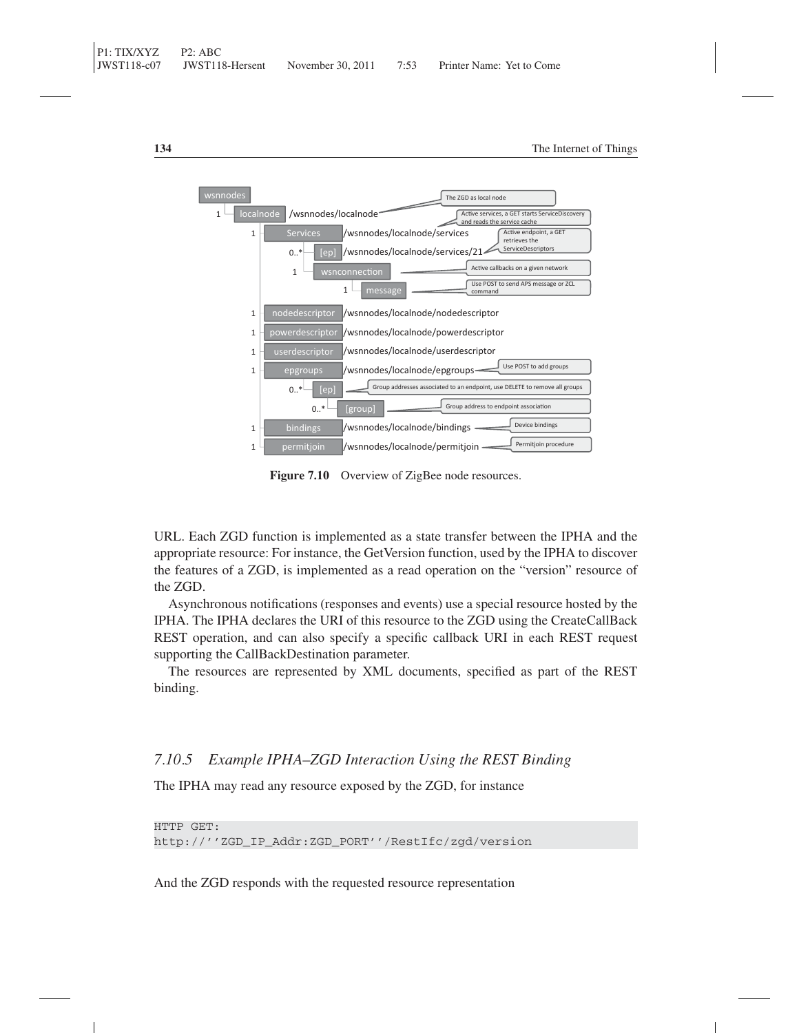

Figure 7.10 Overview of ZigBee node resources.

URL. Each ZGD function is implemented as a state transfer between the IPHA and the appropriate resource: For instance, the GetVersion function, used by the IPHA to discover the features of a ZGD, is implemented as a read operation on the "version" resource of the ZGD.

Asynchronous notifications (responses and events) use a special resource hosted by the IPHA. The IPHA declares the URI of this resource to the ZGD using the CreateCallBack REST operation, and can also specify a specific callback URI in each REST request supporting the CallBackDestination parameter.

The resources are represented by XML documents, specified as part of the REST binding.

#### *7.10.5 Example IPHA–ZGD Interaction Using the REST Binding*

The IPHA may read any resource exposed by the ZGD, for instance

HTTP GET: http://''ZGD\_IP\_Addr:ZGD\_PORT''/RestIfc/zgd/version

And the ZGD responds with the requested resource representation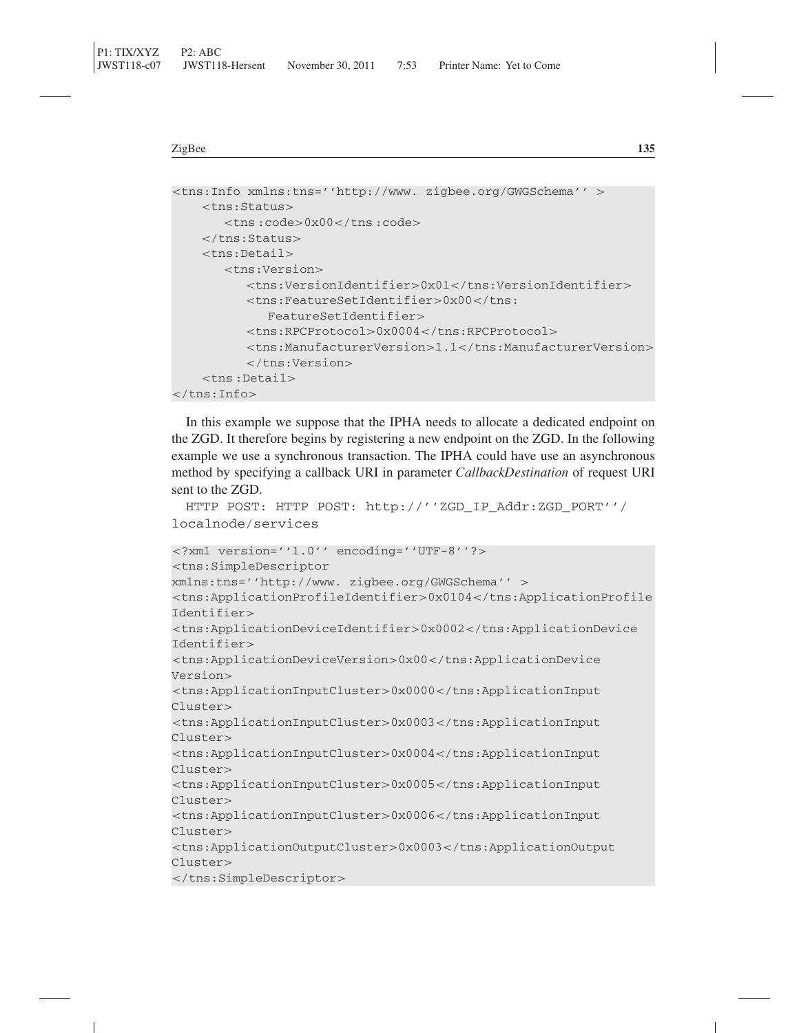```
<tns:Info xmlns:tns=''http://www. zigbee.org/GWGSchema'' >
    <tns:Status>
       <tns :code>0x00</tns :code>
    \langle/tns:Status>
    <tns:Detail>
       <tns:Version>
          <tns:VersionIdentifier>0x01</tns:VersionIdentifier>
          <tns:FeatureSetIdentifier>0x00</tns:
             FeatureSetIdentifier>
          <tns:RPCProtocol>0x0004</tns:RPCProtocol>
          <tns:ManufacturerVersion>1.1</tns:ManufacturerVersion>
          </tns:Version>
    <tns :Detail>
</tns:Info>
```
In this example we suppose that the IPHA needs to allocate a dedicated endpoint on the ZGD. It therefore begins by registering a new endpoint on the ZGD. In the following example we use a synchronous transaction. The IPHA could have use an asynchronous method by specifying a callback URI in parameter *CallbackDestination* of request URI sent to the ZGD.

```
HTTP POST: HTTP POST: http://''ZGD_IP_Addr:ZGD_PORT''/
localnode/services
```

```
<?xml version=''1.0'' encoding=''UTF-8''?>
<tns:SimpleDescriptor
xmlns:tns=''http://www. zigbee.org/GWGSchema'' >
<tns:ApplicationProfileIdentifier>0x0104</tns:ApplicationProfile
Identifier>
<tns:ApplicationDeviceIdentifier>0x0002</tns:ApplicationDevice
Identifier>
<tns:ApplicationDeviceVersion>0x00</tns:ApplicationDevice
Version>
<tns:ApplicationInputCluster>0x0000</tns:ApplicationInput
Cluster>
<tns:ApplicationInputCluster>0x0003</tns:ApplicationInput
Cluster>
<tns:ApplicationInputCluster>0x0004</tns:ApplicationInput
Cluster>
<tns:ApplicationInputCluster>0x0005</tns:ApplicationInput
Cluster>
<tns:ApplicationInputCluster>0x0006</tns:ApplicationInput
Cluster>
<tns:ApplicationOutputCluster>0x0003</tns:ApplicationOutput
Cluster>
</tns:SimpleDescriptor>
```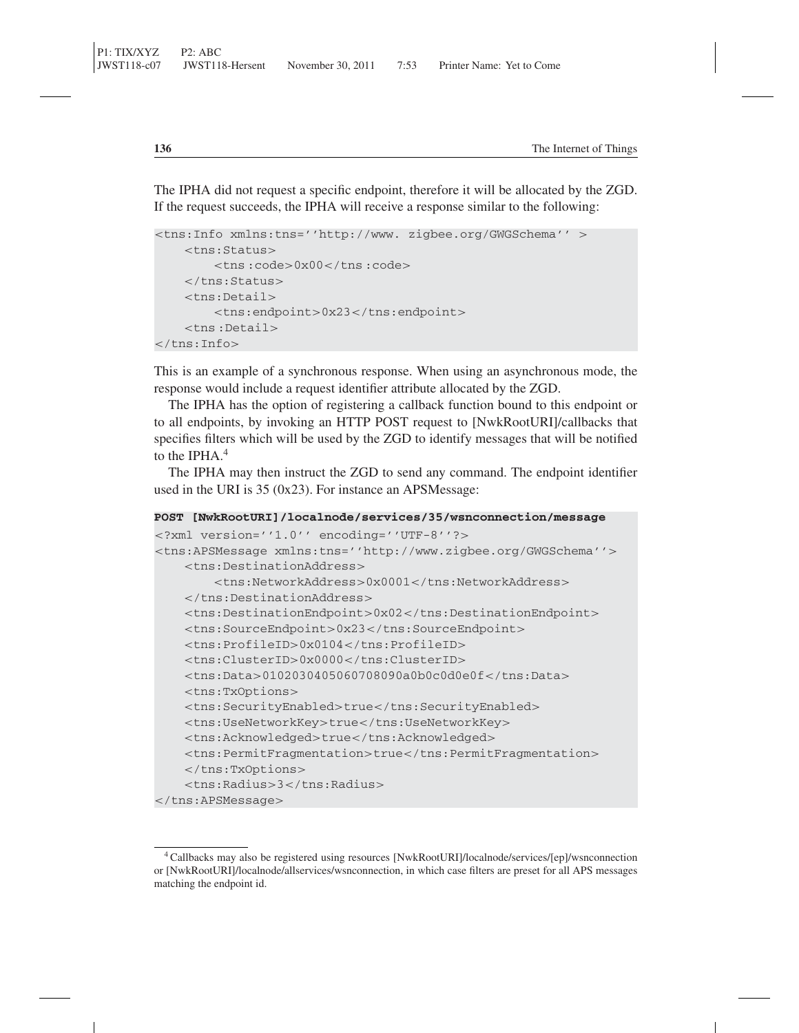The IPHA did not request a specific endpoint, therefore it will be allocated by the ZGD. If the request succeeds, the IPHA will receive a response similar to the following:

```
<tns:Info xmlns:tns=''http://www. zigbee.org/GWGSchema'' >
    <tns:Status>
        <tns :code>0x00</tns :code>
    </tns:Status>
    <tns:Detail>
        <tns:endpoint>0x23</tns:endpoint>
    <tns :Detail>
</tns:Info>
```
This is an example of a synchronous response. When using an asynchronous mode, the response would include a request identifier attribute allocated by the ZGD.

The IPHA has the option of registering a callback function bound to this endpoint or to all endpoints, by invoking an HTTP POST request to [NwkRootURI]/callbacks that specifies filters which will be used by the ZGD to identify messages that will be notified to the IPHA.<sup>4</sup>

The IPHA may then instruct the ZGD to send any command. The endpoint identifier used in the URI is 35 (0x23). For instance an APSMessage:

#### **POST [NwkRootURI]/localnode/services/35/wsnconnection/message**

```
<?xml version=''1.0'' encoding=''UTF-8''?>
<tns:APSMessage xmlns:tns=''http://www.zigbee.org/GWGSchema''>
   <tns:DestinationAddress>
       <tns:NetworkAddress>0x0001</tns:NetworkAddress>
    </tns:DestinationAddress>
   <tns:DestinationEndpoint>0x02</tns:DestinationEndpoint>
    <tns:SourceEndpoint>0x23</tns:SourceEndpoint>
   <tns:ProfileID>0x0104</tns:ProfileID>
   <tns:ClusterID>0x0000</tns:ClusterID>
   <tns:Data>0102030405060708090a0b0c0d0e0f</tns:Data>
   <tns:TxOptions>
    <tns:SecurityEnabled>true</tns:SecurityEnabled>
   <tns:UseNetworkKey>true</tns:UseNetworkKey>
   <tns:Acknowledged>true</tns:Acknowledged>
   <tns:PermitFragmentation>true</tns:PermitFragmentation>
   </tns:TxOptions>
    <tns:Radius>3</tns:Radius>
</tns:APSMessage>
```
<sup>4</sup> Callbacks may also be registered using resources [NwkRootURI]/localnode/services/[ep]/wsnconnection or [NwkRootURI]/localnode/allservices/wsnconnection, in which case filters are preset for all APS messages matching the endpoint id.